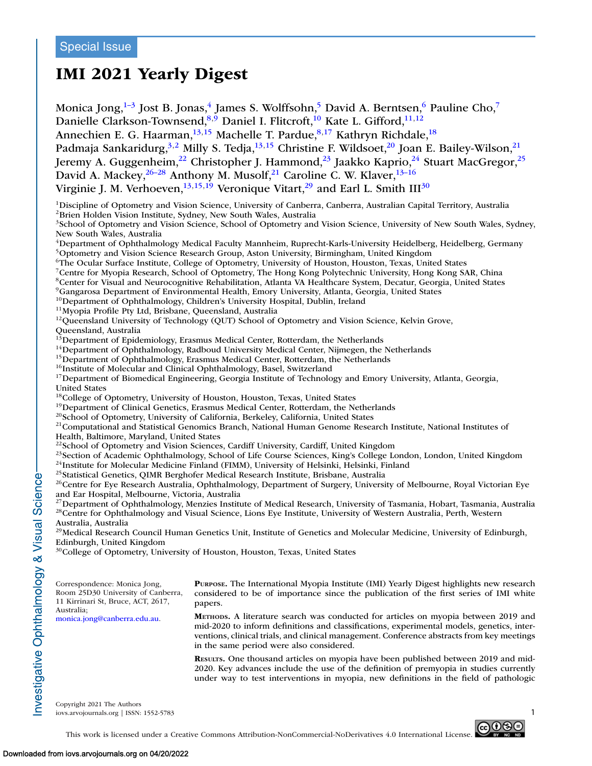# **IMI 2021 Yearly Digest**

Monica Jong, $1-3$  Jost B. Jonas, $4$  James S. Wolffsohn, $5$  David A. Berntsen, $6$  Pauline Cho, $7$ Danielle Clarkson-Townsend,  $8,9$  Daniel I. Flitcroft,  $10$  Kate L. Gifford,  $11,12$ Annechien E. G. Haarman,<sup>13,15</sup> Machelle T. Pardue,<sup>8,17</sup> Kathryn Richdale,<sup>18</sup> Padmaja Sankaridurg,<sup>3,2</sup> Milly S. Tedja,<sup>13,15</sup> Christine F. Wildsoet,<sup>20</sup> Joan E. Bailey-Wilson,<sup>21</sup> Jeremy A. Guggenheim,<sup>22</sup> Christopher J. Hammond,<sup>23</sup> Jaakko Kaprio,<sup>24</sup> Stuart MacGregor,<sup>25</sup> David A. Mackey,  $26-28$  Anthony M. Musolf,  $21$  Caroline C. W. Klaver,  $13-16$ Virginie J. M. Verhoeven,  $^{13,15,19}$  Veronique Vitart,  $^{29}$  and Earl L. Smith III<sup>30</sup> 1Discipline of Optometry and Vision Science, University of Canberra, Canberra, Australian Capital Territory, Australia 2Brien Holden Vision Institute, Sydney, New South Wales, Australia <sup>3</sup>School of Optometry and Vision Science, School of Optometry and Vision Science, University of New South Wales, Sydney, New South Wales, Australia <sup>4</sup>Department of Ophthalmology Medical Faculty Mannheim, Ruprecht-Karls-University Heidelberg, Heidelberg, Germany 5Optometry and Vision Science Research Group, Aston University, Birmingham, United Kingdom 6The Ocular Surface Institute, College of Optometry, University of Houston, Houston, Texas, United States 7Centre for Myopia Research, School of Optometry, The Hong Kong Polytechnic University, Hong Kong SAR, China 8Center for Visual and Neurocognitive Rehabilitation, Atlanta VA Healthcare System, Decatur, Georgia, United States <sup>9</sup>Gangarosa Department of Environmental Health, Emory University, Atlanta, Georgia, United States<br><sup>10</sup>Department of Ophthalmology, Children's University Hospital, Dublin, Ireland <sup>11</sup>Myopia Profile Pty Ltd, Brisbane, Queensland, Australia<br><sup>12</sup>Queensland University of Technology (QUT) School of Optometry and Vision Science, Kelvin Grove, Queensland, Australia<br><sup>13</sup>Department of Epidemiology, Erasmus Medical Center, Rotterdam, the Netherlands <sup>14</sup>Department of Ophthalmology, Radboud University Medical Center, Nijmegen, the Netherlands<br><sup>15</sup>Department of Ophthalmology, Erasmus Medical Center, Rotterdam, the Netherlands<br><sup>16</sup>Institute of Molecular and Clinical Oph <sup>17</sup>Department of Biomedical Engineering, Georgia Institute of Technology and Emory University, Atlanta, Georgia, United States<br><sup>18</sup>College of Optometry, University of Houston, Houston, Texas, United States <sup>19</sup> Department of Clinical Genetics, Erasmus Medical Center, Rotterdam, the Netherlands<br><sup>20</sup> School of Optometry, University of California, Berkeley, California, United States<br><sup>21</sup> Computational and Statistical Genomics Health, Baltimore, Maryland, United States <sup>22</sup>School of Optometry and Vision Sciences, Cardiff University, Cardiff, United Kingdom <sup>23</sup>Section of Academic Ophthalmology, School of Life Course Sciences, King's College London, London, United Kingdom  $24$ Institute for Molecular Medicine Finland (FIMM), University of Helsinki, Helsinki, Finland <sup>25</sup>Statistical Genetics, QIMR Berghofer Medical Research Institute, Brisbane, Australia <sup>26</sup>Centre for Eye Research Australia, Ophthalmology, Department of Surgery, University of Melbourne, Royal Victorian Eye and Ear Hospital, Melbourne, Victoria, Australia <sup>27</sup>Department of Ophthalmology, Menzies Institute of Medical Research, University of Tasmania, Hobart, Tasmania, Australia <sup>28</sup>Centre for Ophthalmology and Visual Science, Lions Eye Institute, University of Western Australia, Perth, Western Australia, Australia  $29$ Medical Research Council Human Genetics Unit, Institute of Genetics and Molecular Medicine, University of Edinburgh, Edinburgh, United Kingdom <sup>30</sup>College of Optometry, University of Houston, Houston, Texas, United States Correspondence: Monica Jong, Room 25D30 University of Canberra, 11 Kirrinari St, Bruce, ACT, 2617, Australia; [monica.jong@canberra.edu.au.](mailto:monica.jong@canberra.edu.au) **PURPOSE.** The International Myopia Institute (IMI) Yearly Digest highlights new research considered to be of importance since the publication of the first series of IMI white papers. **METHODS.** A literature search was conducted for articles on myopia between 2019 and mid-2020 to inform definitions and classifications, experimental models, genetics, interventions, clinical trials, and clinical management. Conference abstracts from key meetings in the same period were also considered. **RESULTS.** One thousand articles on myopia have been published between 2019 and mid-2020. Key advances include the use of the definition of premyopia in studies currently under way to test interventions in myopia, new definitions in the field of pathologic Copyright 2021 The Authors

 $\sim$ iovs.arvojournals.org | ISSN: 1552-5783



This work is licensed under a Creative Commons Attribution-NonCommercial-NoDerivatives 4.0 International License.

nvestigative Ophthalmology & Visual Science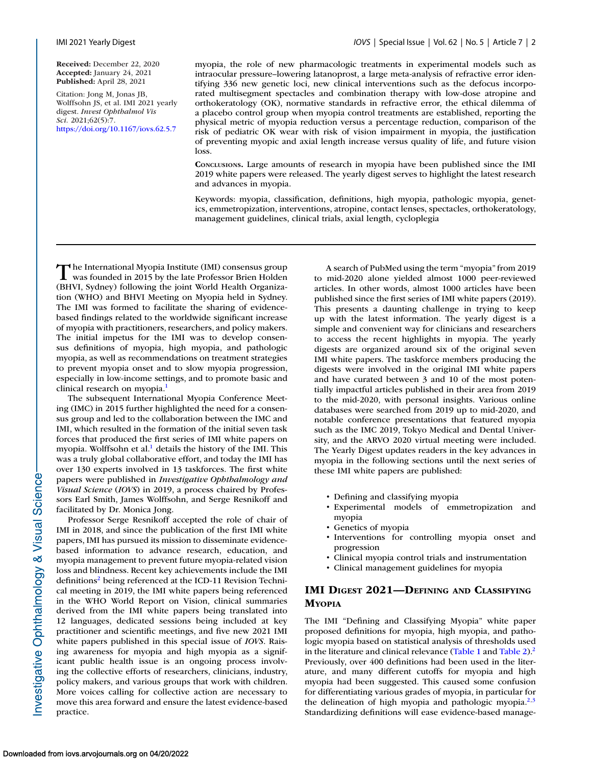**Received:** December 22, 2020 **Accepted:** January 24, 2021 **Published:** April 28, 2021

Citation: Jong M, Jonas JB, Wolffsohn JS, et al. IMI 2021 yearly digest. *Invest Ophthalmol Vis Sci.* 2021;62(5):7. <https://doi.org/10.1167/iovs.62.5.7>

myopia, the role of new pharmacologic treatments in experimental models such as intraocular pressure–lowering latanoprost, a large meta-analysis of refractive error identifying 336 new genetic loci, new clinical interventions such as the defocus incorporated multisegment spectacles and combination therapy with low-dose atropine and orthokeratology (OK), normative standards in refractive error, the ethical dilemma of a placebo control group when myopia control treatments are established, reporting the physical metric of myopia reduction versus a percentage reduction, comparison of the risk of pediatric OK wear with risk of vision impairment in myopia, the justification of preventing myopic and axial length increase versus quality of life, and future vision loss.

**CONCLUSIONS.** Large amounts of research in myopia have been published since the IMI 2019 white papers were released. The yearly digest serves to highlight the latest research and advances in myopia.

Keywords: myopia, classification, definitions, high myopia, pathologic myopia, genetics, emmetropization, interventions, atropine, contact lenses, spectacles, orthokeratology, management guidelines, clinical trials, axial length, cycloplegia

The International Myopia Institute (IMI) consensus group<br>was founded in 2015 by the late Professor Brien Holden<br>www.scotter (BHVI, Sydney) following the joint World Health Organization (WHO) and BHVI Meeting on Myopia held in Sydney. The IMI was formed to facilitate the sharing of evidencebased findings related to the worldwide significant increase of myopia with practitioners, researchers, and policy makers. The initial impetus for the IMI was to develop consensus definitions of myopia, high myopia, and pathologic myopia, as well as recommendations on treatment strategies to prevent myopia onset and to slow myopia progression, especially in low-income settings, and to promote basic and clinical research on myopia.<sup>1</sup>

The subsequent International Myopia Conference Meeting (IMC) in 2015 further highlighted the need for a consensus group and led to the collaboration between the IMC and IMI, which resulted in the formation of the initial seven task forces that produced the first series of IMI white papers on myopia. Wolffsohn et al.<sup>1</sup> details the history of the IMI. This was a truly global collaborative effort, and today the IMI has over 130 experts involved in 13 taskforces. The first white papers were published in *Investigative Ophthalmology and Visual Science* (*IOVS*) in 2019, a process chaired by Professors Earl Smith, James Wolffsohn, and Serge Resnikoff and facilitated by Dr. Monica Jong.

Professor Serge Resnikoff accepted the role of chair of IMI in 2018, and since the publication of the first IMI white papers, IMI has pursued its mission to disseminate evidencebased information to advance research, education, and myopia management to prevent future myopia-related vision loss and blindness. Recent key achievements include the IMI definitions<sup>2</sup> being referenced at the ICD-11 Revision Technical meeting in 2019, the IMI white papers being referenced in the WHO World Report on Vision, clinical summaries derived from the IMI white papers being translated into 12 languages, dedicated sessions being included at key practitioner and scientific meetings, and five new 2021 IMI white papers published in this special issue of *IOVS*. Raising awareness for myopia and high myopia as a significant public health issue is an ongoing process involving the collective efforts of researchers, clinicians, industry, policy makers, and various groups that work with children. More voices calling for collective action are necessary to move this area forward and ensure the latest evidence-based practice.

A search of PubMed using the term "myopia" from 2019 to mid-2020 alone yielded almost 1000 peer-reviewed articles. In other words, almost 1000 articles have been published since the first series of IMI white papers (2019). This presents a daunting challenge in trying to keep up with the latest information. The yearly digest is a simple and convenient way for clinicians and researchers to access the recent highlights in myopia. The yearly digests are organized around six of the original seven IMI white papers. The taskforce members producing the digests were involved in the original IMI white papers and have curated between 3 and 10 of the most potentially impactful articles published in their area from 2019 to the mid-2020, with personal insights. Various online databases were searched from 2019 up to mid-2020, and notable conference presentations that featured myopia such as the IMC 2019, Tokyo Medical and Dental University, and the ARVO 2020 virtual meeting were included. The Yearly Digest updates readers in the key advances in myopia in the following sections until the next series of these IMI white papers are published:

- Defining and classifying myopia
- Experimental models of emmetropization and myopia
- Genetics of myopia
- Interventions for controlling myopia onset and progression
- Clinical myopia control trials and instrumentation
- Clinical management guidelines for myopia

### **IMI DIGEST 2021—DEFINING AND CLASSIFYING MYOPIA**

The IMI "Defining and Classifying Myopia" white paper proposed definitions for myopia, high myopia, and pathologic myopia based on statistical analysis of thresholds used in the literature and clinical relevance [\(Table 1](#page-2-0) and [Table 2\)](#page-2-0).<sup>2</sup> Previously, over 400 definitions had been used in the literature, and many different cutoffs for myopia and high myopia had been suggested. This caused some confusion for differentiating various grades of myopia, in particular for the delineation of high myopia and pathologic myopia.<sup>2,3</sup> Standardizing definitions will ease evidence-based manage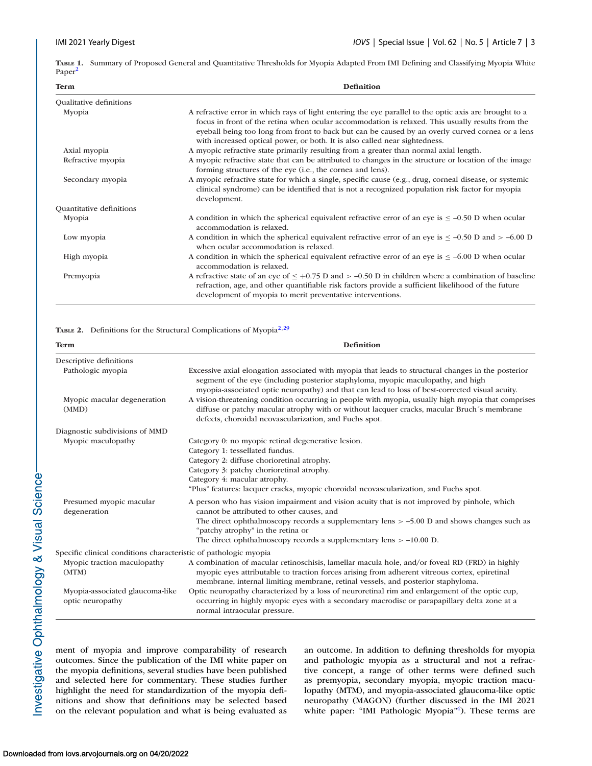<span id="page-2-0"></span>**TABLE 1.** Summary of Proposed General and Quantitative Thresholds for Myopia Adapted From IMI Defining and Classifying Myopia White Paper<sup>2</sup>

| <b>Definition</b><br><b>Term</b> |                                                                                                                                                                                                                                                                                                                                                                                              |  |  |  |  |
|----------------------------------|----------------------------------------------------------------------------------------------------------------------------------------------------------------------------------------------------------------------------------------------------------------------------------------------------------------------------------------------------------------------------------------------|--|--|--|--|
| Qualitative definitions          |                                                                                                                                                                                                                                                                                                                                                                                              |  |  |  |  |
| Myopia                           | A refractive error in which rays of light entering the eye parallel to the optic axis are brought to a<br>focus in front of the retina when ocular accommodation is relaxed. This usually results from the<br>eyeball being too long from front to back but can be caused by an overly curved cornea or a lens<br>with increased optical power, or both. It is also called near sightedness. |  |  |  |  |
| Axial myopia                     | A myopic refractive state primarily resulting from a greater than normal axial length.                                                                                                                                                                                                                                                                                                       |  |  |  |  |
| Refractive myopia                | A myopic refractive state that can be attributed to changes in the structure or location of the image<br>forming structures of the eye (i.e., the cornea and lens).                                                                                                                                                                                                                          |  |  |  |  |
| Secondary myopia                 | A myopic refractive state for which a single, specific cause (e.g., drug, corneal disease, or systemic<br>clinical syndrome) can be identified that is not a recognized population risk factor for myopia<br>development.                                                                                                                                                                    |  |  |  |  |
| Quantitative definitions         |                                                                                                                                                                                                                                                                                                                                                                                              |  |  |  |  |
| Myopia                           | A condition in which the spherical equivalent refractive error of an eye is $\leq -0.50$ D when ocular<br>accommodation is relaxed.                                                                                                                                                                                                                                                          |  |  |  |  |
| Low myopia                       | A condition in which the spherical equivalent refractive error of an eye is $\leq -0.50$ D and $> -0.00$ D<br>when ocular accommodation is relaxed.                                                                                                                                                                                                                                          |  |  |  |  |
| High myopia                      | A condition in which the spherical equivalent refractive error of an eye is $\leq -6.00$ D when ocular<br>accommodation is relaxed.                                                                                                                                                                                                                                                          |  |  |  |  |
| Premyopia                        | A refractive state of an eye of $\leq +0.75$ D and $> -0.50$ D in children where a combination of baseline<br>refraction, age, and other quantifiable risk factors provide a sufficient likelihood of the future<br>development of myopia to merit preventative interventions.                                                                                                               |  |  |  |  |

#### TABLE 2. Definitions for the Structural Complications of Myopia<sup>2,[29](#page-18-0)</sup>

| <b>Term</b>                                                      | <b>Definition</b>                                                                                                                                                                                                                                                                                                                                                                                                                                                                                                                                     |
|------------------------------------------------------------------|-------------------------------------------------------------------------------------------------------------------------------------------------------------------------------------------------------------------------------------------------------------------------------------------------------------------------------------------------------------------------------------------------------------------------------------------------------------------------------------------------------------------------------------------------------|
| Descriptive definitions                                          |                                                                                                                                                                                                                                                                                                                                                                                                                                                                                                                                                       |
| Pathologic myopia                                                | Excessive axial elongation associated with myopia that leads to structural changes in the posterior<br>segment of the eye (including posterior staphyloma, myopic maculopathy, and high<br>myopia-associated optic neuropathy) and that can lead to loss of best-corrected visual acuity.                                                                                                                                                                                                                                                             |
| Myopic macular degeneration<br>(MMD)                             | A vision-threatening condition occurring in people with myopia, usually high myopia that comprises<br>diffuse or patchy macular atrophy with or without lacquer cracks, macular Bruch's membrane<br>defects, choroidal neovascularization, and Fuchs spot.                                                                                                                                                                                                                                                                                            |
| Diagnostic subdivisions of MMD                                   |                                                                                                                                                                                                                                                                                                                                                                                                                                                                                                                                                       |
| Myopic maculopathy<br>Presumed myopic macular<br>degeneration    | Category 0: no myopic retinal degenerative lesion.<br>Category 1: tessellated fundus.<br>Category 2: diffuse chorioretinal atrophy.<br>Category 3: patchy chorioretinal atrophy.<br>Category 4: macular atrophy.<br>"Plus" features: lacquer cracks, myopic choroidal neovascularization, and Fuchs spot.<br>A person who has vision impairment and vision acuity that is not improved by pinhole, which<br>cannot be attributed to other causes, and<br>The direct ophthalmoscopy records a supplementary lens $> -5.00$ D and shows changes such as |
|                                                                  | "patchy atrophy" in the retina or<br>The direct ophthalmoscopy records a supplementary lens $> -10.00$ D.                                                                                                                                                                                                                                                                                                                                                                                                                                             |
| Specific clinical conditions characteristic of pathologic myopia |                                                                                                                                                                                                                                                                                                                                                                                                                                                                                                                                                       |
| Myopic traction maculopathy<br>(MTM)                             | A combination of macular retinoschisis, lamellar macula hole, and/or foveal RD (FRD) in highly<br>myopic eyes attributable to traction forces arising from adherent vitreous cortex, epiretinal<br>membrane, internal limiting membrane, retinal vessels, and posterior staphyloma.                                                                                                                                                                                                                                                                   |
| Myopia-associated glaucoma-like<br>optic neuropathy              | Optic neuropathy characterized by a loss of neuroretinal rim and enlargement of the optic cup,<br>occurring in highly myopic eyes with a secondary macrodisc or parapapillary delta zone at a<br>normal intraocular pressure.                                                                                                                                                                                                                                                                                                                         |

ment of myopia and improve comparability of research outcomes. Since the publication of the IMI white paper on the myopia definitions, several studies have been published and selected here for commentary. These studies further highlight the need for standardization of the myopia definitions and show that definitions may be selected based on the relevant population and what is being evaluated as an outcome. In addition to defining thresholds for myopia and pathologic myopia as a structural and not a refractive concept, a range of other terms were defined such as premyopia, secondary myopia, myopic traction maculopathy (MTM), and myopia-associated glaucoma-like optic neuropathy (MAGON) (further discussed in the IMI 2021 white paper: "IMI Pathologic Myopia"<sup>4</sup>). These terms are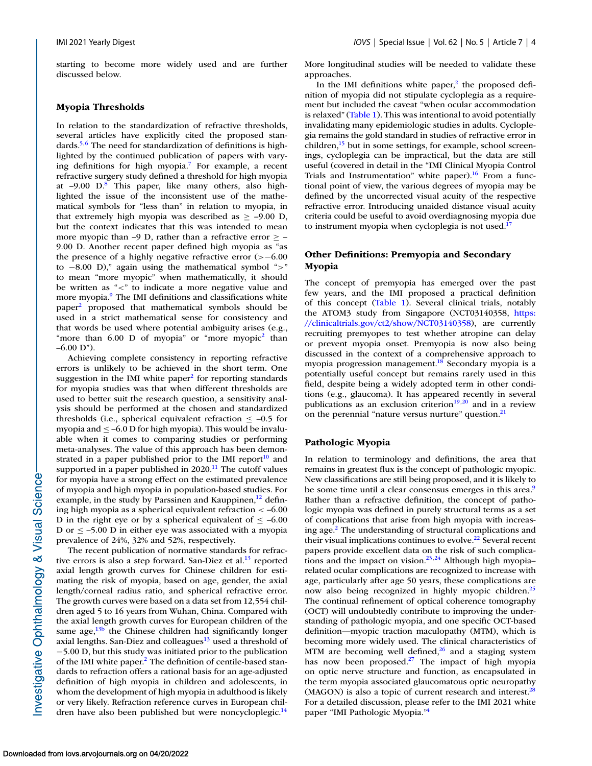starting to become more widely used and are further discussed below.

#### **Myopia Thresholds**

In relation to the standardization of refractive thresholds, several articles have explicitly cited the proposed standards.<sup>5,6</sup> The need for standardization of definitions is highlighted by the continued publication of papers with varying definitions for high myopia[.7](#page-17-0) For example, a recent refractive surgery study defined a threshold for high myopia at  $-9.00$  D.<sup>8</sup> This paper, like many others, also highlighted the issue of the inconsistent use of the mathematical symbols for "less than" in relation to myopia, in that extremely high myopia was described as  $\ge$  -9.00 D, but the context indicates that this was intended to mean more myopic than –9 D, rather than a refractive error  $\geq$  – 9.00 D. Another recent paper defined high myopia as "as the presence of a highly negative refractive error (>−6.00 to −8.00 D)," again using the mathematical symbol ">" to mean "more myopic" when mathematically, it should be written as "<" to indicate a more negative value and more myopia.<sup>9</sup> The IMI definitions and classifications white paper[2](#page-17-0) proposed that mathematical symbols should be used in a strict mathematical sense for consistency and that words be used where potential ambiguity arises (e.g., "more than  $6.00$  D of myopia" or "more myopic<sup>2</sup> than  $-6.00$  D").

Achieving complete consistency in reporting refractive errors is unlikely to be achieved in the short term. One suggestion in the IMI white paper $2$  for reporting standards for myopia studies was that when different thresholds are used to better suit the research question, a sensitivity analysis should be performed at the chosen and standardized thresholds (i.e., spherical equivalent refraction  $\le -0.5$  for myopia and  $\leq -6.0$  D for high myopia). This would be invaluable when it comes to comparing studies or performing meta-analyses. The value of this approach has been demonstrated in a paper published prior to the IMI report<sup>10</sup> and supported in a paper published in  $2020$ .<sup>11</sup> The cutoff values for myopia have a strong effect on the estimated prevalence of myopia and high myopia in population-based studies. For example, in the study by Parssinen and Kauppinen, $^{12}$  defining high myopia as a spherical equivalent refraction < –6.00 D in the right eye or by a spherical equivalent of  $\leq -6.00$ D or  $\leq$  -5.00 D in either eye was associated with a myopia prevalence of 24%, 32% and 52%, respectively.

The recent publication of normative standards for refractive errors is also a step forward. San-Diez et al. $^{13}$  reported axial length growth curves for Chinese children for estimating the risk of myopia, based on age, gender, the axial length/corneal radius ratio, and spherical refractive error. The growth curves were based on a data set from 12,554 children aged 5 to 16 years from Wuhan, China. Compared with the axial length growth curves for European children of the same age, $13<sup>b</sup>$  the Chinese children had significantly longer axial lengths. San-Diez and colleagues $13$  used a threshold of −5.00 D, but this study was initiated prior to the publication of the IMI white paper[.2](#page-17-0) The definition of centile-based standards to refraction offers a rational basis for an age-adjusted definition of high myopia in children and adolescents, in whom the development of high myopia in adulthood is likely or very likely. Refraction reference curves in European children have also been published but were noncycloplegic.<sup>14</sup>

More longitudinal studies will be needed to validate these approaches.

In the IMI definitions white paper, $<sup>2</sup>$  the proposed defi-</sup> nition of myopia did not stipulate cycloplegia as a requirement but included the caveat "when ocular accommodation is relaxed" [\(Table 1\)](#page-2-0). This was intentional to avoid potentially invalidating many epidemiologic studies in adults. Cycloplegia remains the gold standard in studies of refractive error in children, $\frac{15}{15}$  but in some settings, for example, school screenings, cycloplegia can be impractical, but the data are still useful (covered in detail in the "IMI Clinical Myopia Control Trials and Instrumentation" white paper).<sup>16</sup> From a functional point of view, the various degrees of myopia may be defined by the uncorrected visual acuity of the respective refractive error. Introducing unaided distance visual acuity criteria could be useful to avoid overdiagnosing myopia due to instrument myopia when cycloplegia is not used.<sup>17</sup>

#### **Other Definitions: Premyopia and Secondary Myopia**

The concept of premyopia has emerged over the past few years, and the IMI proposed a practical definition of this concept [\(Table 1\)](#page-2-0). Several clinical trials, notably the ATOM3 study from Singapore (NCT03140358, https: [//clinicaltrials.gov/ct2/show/NCT03140358\), are currently](https://clinicaltrials.gov/ct2/show/NCT03140358) recruiting premyopes to test whether atropine can delay or prevent myopia onset. Premyopia is now also being discussed in the context of a comprehensive approach to myopia progression management. $18$  Secondary myopia is a potentially useful concept but remains rarely used in this field, despite being a widely adopted term in other conditions (e.g., glaucoma). It has appeared recently in several publications as an exclusion criterion $19,20$  and in a review on the perennial "nature versus nurture" question.<sup>21</sup>

#### **Pathologic Myopia**

In relation to terminology and definitions, the area that remains in greatest flux is the concept of pathologic myopic. New classifications are still being proposed, and it is likely to be some time until a clear consensus emerges in this area.<sup>9</sup> Rather than a refractive definition, the concept of pathologic myopia was defined in purely structural terms as a set of complications that arise from high myopia with increasing age[.2](#page-17-0) The understanding of structural complications and their visual implications continues to evolve.<sup>22</sup> Several recent papers provide excellent data on the risk of such complica-tions and the impact on vision.<sup>23,[24](#page-18-0)</sup> Although high myopia– related ocular complications are recognized to increase with age, particularly after age 50 years, these complications are now also being recognized in highly myopic children.<sup>25</sup> The continual refinement of optical coherence tomography (OCT) will undoubtedly contribute to improving the understanding of pathologic myopia, and one specific OCT-based definition—myopic traction maculopathy (MTM), which is becoming more widely used. The clinical characteristics of MTM are becoming well defined, $26$  and a staging system has now been proposed.<sup>27</sup> The impact of high myopia on optic nerve structure and function, as encapsulated in the term myopia associated glaucomatous optic neuropathy (MAGON) is also a topic of current research and interest.<sup>28</sup> For a detailed discussion, please refer to the IMI 2021 white paper "IMI Pathologic Myopia.["4](#page-17-0)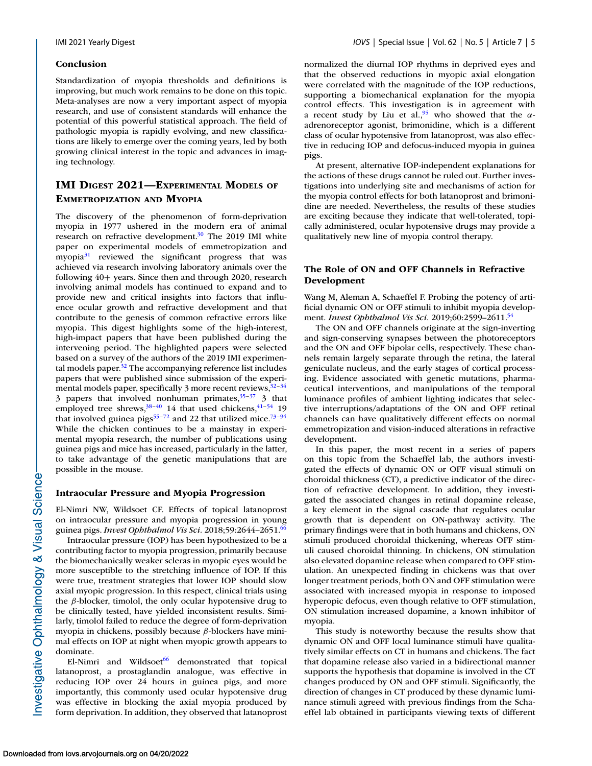#### **Conclusion**

Standardization of myopia thresholds and definitions is improving, but much work remains to be done on this topic. Meta-analyses are now a very important aspect of myopia research, and use of consistent standards will enhance the potential of this powerful statistical approach. The field of pathologic myopia is rapidly evolving, and new classifications are likely to emerge over the coming years, led by both growing clinical interest in the topic and advances in imaging technology.

### **IMI DIGEST 2021—EXPERIMENTAL MODELS OF EMMETROPIZATION AND MYOPIA**

The discovery of the phenomenon of form-deprivation myopia in 1977 ushered in the modern era of animal research on refractive development. $30$  The 2019 IMI white paper on experimental models of emmetropization and myopia<sup>31</sup> reviewed the significant progress that was achieved via research involving laboratory animals over the following 40+ years. Since then and through 2020, research involving animal models has continued to expand and to provide new and critical insights into factors that influence ocular growth and refractive development and that contribute to the genesis of common refractive errors like myopia. This digest highlights some of the high-interest, high-impact papers that have been published during the intervening period. The highlighted papers were selected based on a survey of the authors of the 2019 IMI experimental models paper. $32$  The accompanying reference list includes papers that were published since submission of the experimental models paper, specifically 3 more recent reviews,  $32-34$ 3 papers that involved nonhuman primates, $35-37$  3 that employed tree shrews, $38-40$  14 that used chickens, $41-54$  19 that involved guinea pigs<sup>55–[72](#page-19-0)</sup> and 22 that utilized mice.<sup>73–94</sup> While the chicken continues to be a mainstay in experimental myopia research, the number of publications using guinea pigs and mice has increased, particularly in the latter, to take advantage of the genetic manipulations that are possible in the mouse.

#### **Intraocular Pressure and Myopia Progression**

El-Nimri NW, Wildsoet CF. Effects of topical latanoprost on intraocular pressure and myopia progression in young guinea pigs. *Invest Ophthalmol Vis Sci.* 2018;59:2644–2651[.66](#page-19-0)

Intraocular pressure (IOP) has been hypothesized to be a contributing factor to myopia progression, primarily because the biomechanically weaker scleras in myopic eyes would be more susceptible to the stretching influence of IOP. If this were true, treatment strategies that lower IOP should slow axial myopic progression. In this respect, clinical trials using the  $\beta$ -blocker, timolol, the only ocular hypotensive drug to be clinically tested, have yielded inconsistent results. Similarly, timolol failed to reduce the degree of form-deprivation myopia in chickens, possibly because β-blockers have minimal effects on IOP at night when myopic growth appears to dominate.

El-Nimri and Wildsoet $^{66}$  demonstrated that topical latanoprost, a prostaglandin analogue, was effective in reducing IOP over 24 hours in guinea pigs, and more importantly, this commonly used ocular hypotensive drug was effective in blocking the axial myopia produced by form deprivation. In addition, they observed that latanoprost normalized the diurnal IOP rhythms in deprived eyes and that the observed reductions in myopic axial elongation were correlated with the magnitude of the IOP reductions, supporting a biomechanical explanation for the myopia control effects. This investigation is in agreement with a recent study by Liu et al.,<sup>95</sup> who showed that the  $\alpha$ adrenoreceptor agonist, brimonidine, which is a different class of ocular hypotensive from latanoprost, was also effective in reducing IOP and defocus-induced myopia in guinea pigs.

At present, alternative IOP-independent explanations for the actions of these drugs cannot be ruled out. Further investigations into underlying site and mechanisms of action for the myopia control effects for both latanoprost and brimonidine are needed. Nevertheless, the results of these studies are exciting because they indicate that well-tolerated, topically administered, ocular hypotensive drugs may provide a qualitatively new line of myopia control therapy.

### **The Role of ON and OFF Channels in Refractive Development**

Wang M, Aleman A, Schaeffel F. Probing the potency of artificial dynamic ON or OFF stimuli to inhibit myopia development. *Invest Ophthalmol Vis Sci*. 2019;60:2599–2611[.54](#page-18-0)

The ON and OFF channels originate at the sign-inverting and sign-conserving synapses between the photoreceptors and the ON and OFF bipolar cells, respectively. These channels remain largely separate through the retina, the lateral geniculate nucleus, and the early stages of cortical processing. Evidence associated with genetic mutations, pharmaceutical interventions, and manipulations of the temporal luminance profiles of ambient lighting indicates that selective interruptions/adaptations of the ON and OFF retinal channels can have qualitatively different effects on normal emmetropization and vision-induced alterations in refractive development.

In this paper, the most recent in a series of papers on this topic from the Schaeffel lab, the authors investigated the effects of dynamic ON or OFF visual stimuli on choroidal thickness (CT), a predictive indicator of the direction of refractive development. In addition, they investigated the associated changes in retinal dopamine release, a key element in the signal cascade that regulates ocular growth that is dependent on ON-pathway activity. The primary findings were that in both humans and chickens, ON stimuli produced choroidal thickening, whereas OFF stimuli caused choroidal thinning. In chickens, ON stimulation also elevated dopamine release when compared to OFF stimulation. An unexpected finding in chickens was that over longer treatment periods, both ON and OFF stimulation were associated with increased myopia in response to imposed hyperopic defocus, even though relative to OFF stimulation, ON stimulation increased dopamine, a known inhibitor of myopia.

This study is noteworthy because the results show that dynamic ON and OFF local luminance stimuli have qualitatively similar effects on CT in humans and chickens. The fact that dopamine release also varied in a bidirectional manner supports the hypothesis that dopamine is involved in the CT changes produced by ON and OFF stimuli. Significantly, the direction of changes in CT produced by these dynamic luminance stimuli agreed with previous findings from the Schaeffel lab obtained in participants viewing texts of different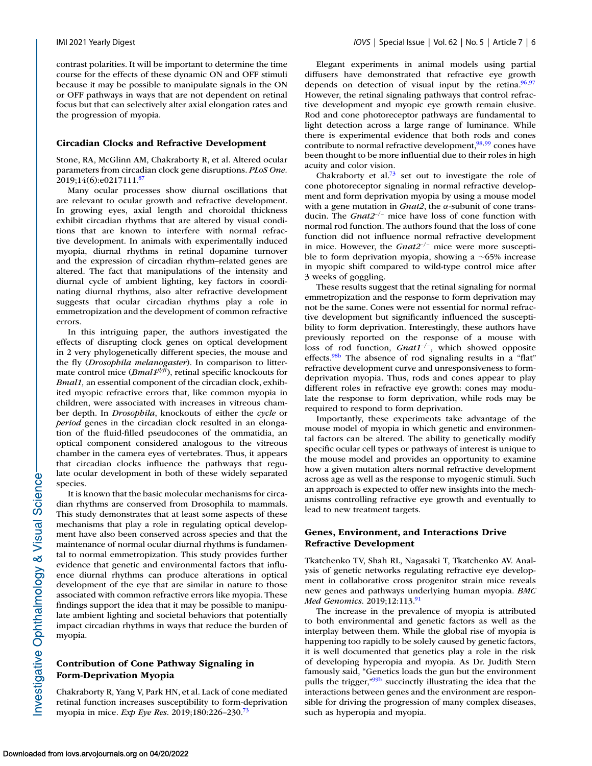contrast polarities. It will be important to determine the time course for the effects of these dynamic ON and OFF stimuli because it may be possible to manipulate signals in the ON or OFF pathways in ways that are not dependent on retinal focus but that can selectively alter axial elongation rates and the progression of myopia.

#### **Circadian Clocks and Refractive Development**

Stone, RA, McGlinn AM, Chakraborty R, et al. Altered ocular parameters from circadian clock gene disruptions. *PLoS One.* 2019;14(6):e0217111.<sup>87</sup>

Many ocular processes show diurnal oscillations that are relevant to ocular growth and refractive development. In growing eyes, axial length and choroidal thickness exhibit circadian rhythms that are altered by visual conditions that are known to interfere with normal refractive development. In animals with experimentally induced myopia, diurnal rhythms in retinal dopamine turnover and the expression of circadian rhythm–related genes are altered. The fact that manipulations of the intensity and diurnal cycle of ambient lighting, key factors in coordinating diurnal rhythms, also alter refractive development suggests that ocular circadian rhythms play a role in emmetropization and the development of common refractive errors.

In this intriguing paper, the authors investigated the effects of disrupting clock genes on optical development in 2 very phylogenetically different species, the mouse and the fly (*Drosophila melanogaster*). In comparison to littermate control mice (*Bmal1<sup>fl/fl</sup>*), retinal specific knockouts for *Bmal1,* an essential component of the circadian clock, exhibited myopic refractive errors that, like common myopia in children, were associated with increases in vitreous chamber depth. In *Drosophila*, knockouts of either the *cycle* or *period* genes in the circadian clock resulted in an elongation of the fluid-filled pseudocones of the ommatidia, an optical component considered analogous to the vitreous chamber in the camera eyes of vertebrates. Thus, it appears that circadian clocks influence the pathways that regulate ocular development in both of these widely separated species.

It is known that the basic molecular mechanisms for circadian rhythms are conserved from Drosophila to mammals. This study demonstrates that at least some aspects of these mechanisms that play a role in regulating optical development have also been conserved across species and that the maintenance of normal ocular diurnal rhythms is fundamental to normal emmetropization. This study provides further evidence that genetic and environmental factors that influence diurnal rhythms can produce alterations in optical development of the eye that are similar in nature to those associated with common refractive errors like myopia. These findings support the idea that it may be possible to manipulate ambient lighting and societal behaviors that potentially impact circadian rhythms in ways that reduce the burden of myopia.

### **Contribution of Cone Pathway Signaling in Form-Deprivation Myopia**

Chakraborty R, Yang V, Park HN, et al. Lack of cone mediated retinal function increases susceptibility to form-deprivation myopia in mice. *Exp Eye Res*. 2019;180:226–230[.73](#page-19-0)

Elegant experiments in animal models using partial diffusers have demonstrated that refractive eye growth depends on detection of visual input by the retina. $96,97$ However, the retinal signaling pathways that control refractive development and myopic eye growth remain elusive. Rod and cone photoreceptor pathways are fundamental to light detection across a large range of luminance. While there is experimental evidence that both rods and cones contribute to normal refractive development, $\frac{98,99}{8}$  cones have been thought to be more influential due to their roles in high acuity and color vision.

Chakraborty et al.<sup>73</sup> set out to investigate the role of cone photoreceptor signaling in normal refractive development and form deprivation myopia by using a mouse model with a gene mutation in *Gnat2*, the α-subunit of cone transducin. The *Gnat2*–/– mice have loss of cone function with normal rod function. The authors found that the loss of cone function did not influence normal refractive development in mice. However, the *Gnat2*–/– mice were more susceptible to form deprivation myopia, showing a ∼65% increase in myopic shift compared to wild-type control mice after 3 weeks of goggling.

These results suggest that the retinal signaling for normal emmetropization and the response to form deprivation may not be the same. Cones were not essential for normal refractive development but significantly influenced the susceptibility to form deprivation. Interestingly, these authors have previously reported on the response of a mouse with loss of rod function, *Gnat1*–/–, which showed opposite effects[.98b](#page-20-0) The absence of rod signaling results in a "flat" refractive development curve and unresponsiveness to formdeprivation myopia. Thus, rods and cones appear to play different roles in refractive eye growth: cones may modulate the response to form deprivation, while rods may be required to respond to form deprivation.

Importantly, these experiments take advantage of the mouse model of myopia in which genetic and environmental factors can be altered. The ability to genetically modify specific ocular cell types or pathways of interest is unique to the mouse model and provides an opportunity to examine how a given mutation alters normal refractive development across age as well as the response to myogenic stimuli. Such an approach is expected to offer new insights into the mechanisms controlling refractive eye growth and eventually to lead to new treatment targets.

### **Genes, Environment, and Interactions Drive Refractive Development**

Tkatchenko TV, Shah RL, Nagasaki T, Tkatchenko AV. Analysis of genetic networks regulating refractive eye development in collaborative cross progenitor strain mice reveals new genes and pathways underlying human myopia. *BMC Med Genomics.* 2019;12:113[.91](#page-19-0)

The increase in the prevalence of myopia is attributed to both environmental and genetic factors as well as the interplay between them. While the global rise of myopia is happening too rapidly to be solely caused by genetic factors, it is well documented that genetics play a role in the risk of developing hyperopia and myopia. As Dr. Judith Stern famously said, "Genetics loads the gun but the environment pulls the trigger,["99b](#page-20-0) succinctly illustrating the idea that the interactions between genes and the environment are responsible for driving the progression of many complex diseases, such as hyperopia and myopia.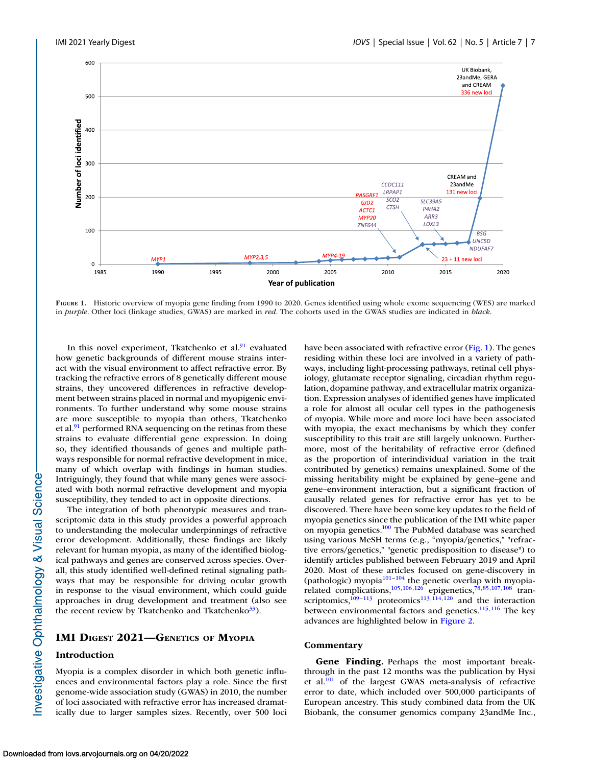

**FIGURE 1.** Historic overview of myopia gene finding from 1990 to 2020. Genes identified using whole exome sequencing (WES) are marked in *purple*. Other loci (linkage studies, GWAS) are marked in *red*. The cohorts used in the GWAS studies are indicated in *black*.

In this novel experiment, Tkatchenko et al.<sup>91</sup> evaluated how genetic backgrounds of different mouse strains interact with the visual environment to affect refractive error. By tracking the refractive errors of 8 genetically different mouse strains, they uncovered differences in refractive development between strains placed in normal and myopigenic environments. To further understand why some mouse strains are more susceptible to myopia than others, Tkatchenko et al. $91$  performed RNA sequencing on the retinas from these strains to evaluate differential gene expression. In doing so, they identified thousands of genes and multiple pathways responsible for normal refractive development in mice, many of which overlap with findings in human studies. Intriguingly, they found that while many genes were associated with both normal refractive development and myopia susceptibility, they tended to act in opposite directions.

The integration of both phenotypic measures and transcriptomic data in this study provides a powerful approach to understanding the molecular underpinnings of refractive error development. Additionally, these findings are likely relevant for human myopia, as many of the identified biological pathways and genes are conserved across species. Overall, this study identified well-defined retinal signaling pathways that may be responsible for driving ocular growth in response to the visual environment, which could guide approaches in drug development and treatment (also see the recent review by Tkatchenko and Tkatchenko $33$ ).

### **IMI DIGEST 2021—GENETICS OF MYOPIA**

#### **Introduction**

Myopia is a complex disorder in which both genetic influences and environmental factors play a role. Since the first genome-wide association study (GWAS) in 2010, the number of loci associated with refractive error has increased dramatically due to larger samples sizes. Recently, over 500 loci have been associated with refractive error (Fig. 1). The genes residing within these loci are involved in a variety of pathways, including light-processing pathways, retinal cell physiology, glutamate receptor signaling, circadian rhythm regulation, dopamine pathway, and extracellular matrix organization. Expression analyses of identified genes have implicated a role for almost all ocular cell types in the pathogenesis of myopia. While more and more loci have been associated with myopia, the exact mechanisms by which they confer susceptibility to this trait are still largely unknown. Furthermore, most of the heritability of refractive error (defined as the proportion of interindividual variation in the trait contributed by genetics) remains unexplained. Some of the missing heritability might be explained by gene–gene and gene–environment interaction, but a significant fraction of causally related genes for refractive error has yet to be discovered. There have been some key updates to the field of myopia genetics since the publication of the IMI white paper on myopia genetics[.100](#page-20-0) The PubMed database was searched using various MeSH terms (e.g., "myopia/genetics," "refractive errors/genetics," "genetic predisposition to disease") to identify articles published between February 2019 and April 2020. Most of these articles focused on gene-discovery in (pathologic) myopia<sup>101-104</sup> the genetic overlap with myopia-related complications,<sup>105,106,126</sup> epigenetics,<sup>78,85[,107,108](#page-20-0)</sup> transcriptomics, $^{109-113}$  proteomics<sup>113,114,120</sup> and the interaction between environmental factors and genetics.<sup>115,116</sup> The key advances are highlighted below in [Figure 2.](#page-7-0)

#### **Commentary**

**Gene Finding.** Perhaps the most important breakthrough in the past 12 months was the publication by Hysi et al[.101](#page-20-0) of the largest GWAS meta-analysis of refractive error to date, which included over 500,000 participants of European ancestry. This study combined data from the UK Biobank, the consumer genomics company 23andMe Inc.,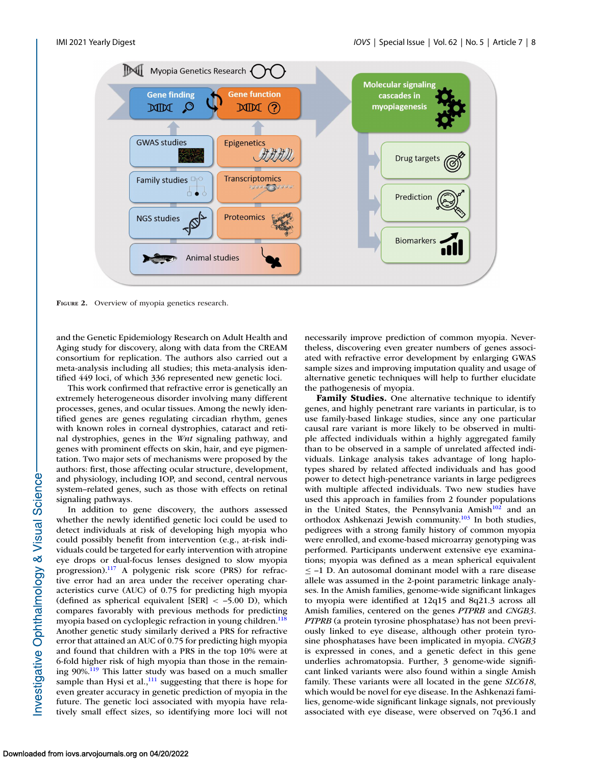<span id="page-7-0"></span>

**FIGURE 2.** Overview of myopia genetics research.

and the Genetic Epidemiology Research on Adult Health and Aging study for discovery, along with data from the CREAM consortium for replication. The authors also carried out a meta-analysis including all studies; this meta-analysis identified 449 loci, of which 336 represented new genetic loci.

This work confirmed that refractive error is genetically an extremely heterogeneous disorder involving many different processes, genes, and ocular tissues. Among the newly identified genes are genes regulating circadian rhythm, genes with known roles in corneal dystrophies, cataract and retinal dystrophies, genes in the *Wnt* signaling pathway, and genes with prominent effects on skin, hair, and eye pigmentation. Two major sets of mechanisms were proposed by the authors: first, those affecting ocular structure, development, and physiology, including IOP, and second, central nervous system–related genes, such as those with effects on retinal signaling pathways.

In addition to gene discovery, the authors assessed whether the newly identified genetic loci could be used to detect individuals at risk of developing high myopia who could possibly benefit from intervention (e.g., at-risk individuals could be targeted for early intervention with atropine eye drops or dual-focus lenses designed to slow myopia progression)[.117](#page-20-0) A polygenic risk score (PRS) for refractive error had an area under the receiver operating characteristics curve (AUC) of 0.75 for predicting high myopia (defined as spherical equivalent [SER] < –5.00 D), which compares favorably with previous methods for predicting myopia based on cycloplegic refraction in young children.<sup>118</sup> Another genetic study similarly derived a PRS for refractive error that attained an AUC of 0.75 for predicting high myopia and found that children with a PRS in the top 10% were at 6-fold higher risk of high myopia than those in the remaining 90%[.119](#page-20-0) This latter study was based on a much smaller sample than Hysi et al., $^{111}$  suggesting that there is hope for even greater accuracy in genetic prediction of myopia in the future. The genetic loci associated with myopia have relatively small effect sizes, so identifying more loci will not

necessarily improve prediction of common myopia. Nevertheless, discovering even greater numbers of genes associated with refractive error development by enlarging GWAS sample sizes and improving imputation quality and usage of alternative genetic techniques will help to further elucidate the pathogenesis of myopia.

**Family Studies.** One alternative technique to identify genes, and highly penetrant rare variants in particular, is to use family-based linkage studies, since any one particular causal rare variant is more likely to be observed in multiple affected individuals within a highly aggregated family than to be observed in a sample of unrelated affected individuals. Linkage analysis takes advantage of long haplotypes shared by related affected individuals and has good power to detect high-penetrance variants in large pedigrees with multiple affected individuals. Two new studies have used this approach in families from 2 founder populations in the United States, the Pennsylvania Amish $102$  and an orthodox Ashkenazi Jewish community.<sup>103</sup> In both studies, pedigrees with a strong family history of common myopia were enrolled, and exome-based microarray genotyping was performed. Participants underwent extensive eye examinations; myopia was defined as a mean spherical equivalent ≤ –1 D. An autosomal dominant model with a rare disease allele was assumed in the 2-point parametric linkage analyses. In the Amish families, genome-wide significant linkages to myopia were identified at 12q15 and 8q21.3 across all Amish families, centered on the genes *PTPRB* and *CNGB3*. *PTPRB* (a protein tyrosine phosphatase) has not been previously linked to eye disease, although other protein tyrosine phosphatases have been implicated in myopia. *CNGB3* is expressed in cones, and a genetic defect in this gene underlies achromatopsia. Further, 3 genome-wide significant linked variants were also found within a single Amish family. These variants were all located in the gene *SLC618*, which would be novel for eye disease. In the Ashkenazi families, genome-wide significant linkage signals, not previously associated with eye disease, were observed on 7q36.1 and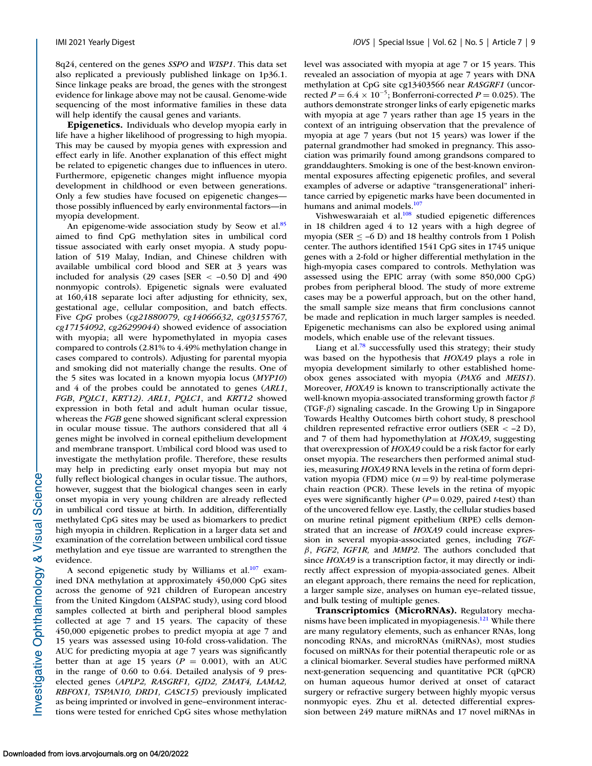8q24, centered on the genes *SSPO* and *WISP1*. This data set also replicated a previously published linkage on 1p36.1. Since linkage peaks are broad, the genes with the strongest evidence for linkage above may not be causal. Genome-wide sequencing of the most informative families in these data will help identify the causal genes and variants.

**Epigenetics.** Individuals who develop myopia early in life have a higher likelihood of progressing to high myopia. This may be caused by myopia genes with expression and effect early in life. Another explanation of this effect might be related to epigenetic changes due to influences in utero. Furthermore, epigenetic changes might influence myopia development in childhood or even between generations. Only a few studies have focused on epigenetic changes those possibly influenced by early environmental factors—in myopia development.

An epigenome-wide association study by Seow et al.<sup>85</sup> aimed to find CpG methylation sites in umbilical cord tissue associated with early onset myopia. A study population of 519 Malay, Indian, and Chinese children with available umbilical cord blood and SER at 3 years was included for analysis (29 cases [SER  $\lt$  -0.50 D] and 490 nonmyopic controls). Epigenetic signals were evaluated at 160,418 separate loci after adjusting for ethnicity, sex, gestational age, cellular composition, and batch effects. Five *CpG* probes (*cg21880079*, *cg14066632*, *cg03155767*, *cg17154092*, *cg26299044*) showed evidence of association with myopia; all were hypomethylated in myopia cases compared to controls (2.81% to 4.49% methylation change in cases compared to controls). Adjusting for parental myopia and smoking did not materially change the results. One of the 5 sites was located in a known myopia locus (*MYP10*) and 4 of the probes could be annotated to genes (*ARL1*, *FGB*, *PQLC1*, *KRT12). ARL1*, *PQLC1*, and *KRT12* showed expression in both fetal and adult human ocular tissue, whereas the *FGB* gene showed significant scleral expression in ocular mouse tissue. The authors considered that all 4 genes might be involved in corneal epithelium development and membrane transport. Umbilical cord blood was used to investigate the methylation profile. Therefore, these results may help in predicting early onset myopia but may not fully reflect biological changes in ocular tissue. The authors, however, suggest that the biological changes seen in early onset myopia in very young children are already reflected in umbilical cord tissue at birth. In addition, differentially methylated CpG sites may be used as biomarkers to predict high myopia in children. Replication in a larger data set and examination of the correlation between umbilical cord tissue methylation and eye tissue are warranted to strengthen the evidence.

A second epigenetic study by Williams et al. $107$  examined DNA methylation at approximately 450,000 CpG sites across the genome of 921 children of European ancestry from the United Kingdom (ALSPAC study), using cord blood samples collected at birth and peripheral blood samples collected at age 7 and 15 years. The capacity of these 450,000 epigenetic probes to predict myopia at age 7 and 15 years was assessed using 10-fold cross-validation. The AUC for predicting myopia at age 7 years was significantly better than at age 15 years ( $P = 0.001$ ), with an AUC in the range of 0.60 to 0.64. Detailed analysis of 9 preselected genes (*APLP2, RASGRF1, GJD2, ZMAT4, LAMA2, RBFOX1, TSPAN10, DRD1, CASC15*) previously implicated as being imprinted or involved in gene–environment interactions were tested for enriched CpG sites whose methylation level was associated with myopia at age 7 or 15 years. This revealed an association of myopia at age 7 years with DNA methylation at CpG site cg13403566 near *RASGRF1* (uncorrected *P* =  $6.4 \times 10^{-5}$ ; Bonferroni-corrected *P* = 0.025). The authors demonstrate stronger links of early epigenetic marks with myopia at age 7 years rather than age 15 years in the context of an intriguing observation that the prevalence of myopia at age 7 years (but not 15 years) was lower if the paternal grandmother had smoked in pregnancy. This association was primarily found among grandsons compared to granddaughters. Smoking is one of the best-known environmental exposures affecting epigenetic profiles, and several examples of adverse or adaptive "transgenerational" inheritance carried by epigenetic marks have been documented in humans and animal models.<sup>107</sup>

Vishweswaraiah et al.<sup>108</sup> studied epigenetic differences in 18 children aged 4 to 12 years with a high degree of myopia (SER  $\leq$  –6 D) and 18 healthy controls from 1 Polish center. The authors identified 1541 CpG sites in 1745 unique genes with a 2-fold or higher differential methylation in the high-myopia cases compared to controls. Methylation was assessed using the EPIC array (with some 850,000 CpG) probes from peripheral blood. The study of more extreme cases may be a powerful approach, but on the other hand, the small sample size means that firm conclusions cannot be made and replication in much larger samples is needed. Epigenetic mechanisms can also be explored using animal models, which enable use of the relevant tissues.

Liang et al.<sup>78</sup> successfully used this strategy; their study was based on the hypothesis that *HOXA9* plays a role in myopia development similarly to other established homeobox genes associated with myopia (*PAX6* and *MEIS1*). Moreover, *HOXA9* is known to transcriptionally activate the well-known myopia-associated transforming growth factor  $\beta$ (TGF- $\beta$ ) signaling cascade. In the Growing Up in Singapore Towards Healthy Outcomes birth cohort study, 8 preschool children represented refractive error outliers (SER < –2 D), and 7 of them had hypomethylation at *HOXA9*, suggesting that overexpression of *HOXA9* could be a risk factor for early onset myopia. The researchers then performed animal studies, measuring *HOXA9* RNA levels in the retina of form deprivation myopia (FDM) mice  $(n=9)$  by real-time polymerase chain reaction (PCR). These levels in the retina of myopic eyes were significantly higher (*P* = 0.029, paired *t*-test) than of the uncovered fellow eye. Lastly, the cellular studies based on murine retinal pigment epithelium (RPE) cells demonstrated that an increase of *HOXA9* could increase expression in several myopia-associated genes, including *TGF*β, *FGF2*, *IGF1R,* and *MMP2*. The authors concluded that since *HOXA9* is a transcription factor, it may directly or indirectly affect expression of myopia-associated genes. Albeit an elegant approach, there remains the need for replication, a larger sample size, analyses on human eye–related tissue, and bulk testing of multiple genes.

**Transcriptomics (MicroRNAs).** Regulatory mechanisms have been implicated in myopiagenesis.<sup>121</sup> While there are many regulatory elements, such as enhancer RNAs, long noncoding RNAs, and microRNAs (miRNAs), most studies focused on miRNAs for their potential therapeutic role or as a clinical biomarker. Several studies have performed miRNA next-generation sequencing and quantitative PCR (qPCR) on human aqueous humor derived at onset of cataract surgery or refractive surgery between highly myopic versus nonmyopic eyes. Zhu et al. detected differential expression between 249 mature miRNAs and 17 novel miRNAs in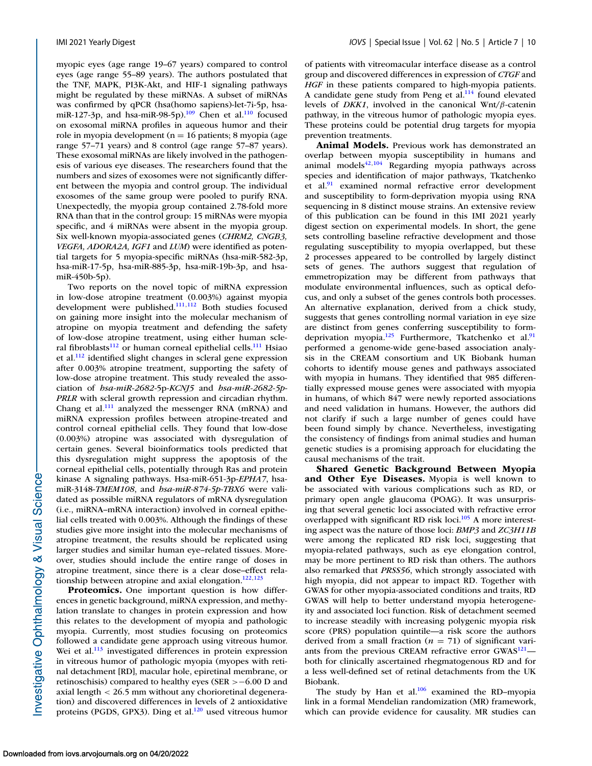myopic eyes (age range 19–67 years) compared to control eyes (age range 55–89 years). The authors postulated that the TNF, MAPK, PI3K-Akt, and HIF-1 signaling pathways might be regulated by these miRNAs. A subset of miRNAs was confirmed by qPCR (hsa(homo sapiens)-let-7i-5p, hsamiR-127-3p, and hsa-miR-98-5p).<sup>109</sup> Chen et al.<sup>110</sup> focused on exosomal miRNA profiles in aqueous humor and their role in myopia development ( $n = 16$  patients; 8 myopia (age range 57–71 years) and 8 control (age range 57–87 years). These exosomal miRNAs are likely involved in the pathogenesis of various eye diseases. The researchers found that the numbers and sizes of exosomes were not significantly different between the myopia and control group. The individual exosomes of the same group were pooled to purify RNA. Unexpectedly, the myopia group contained 2.78-fold more RNA than that in the control group: 15 miRNAs were myopia specific, and 4 miRNAs were absent in the myopia group. Six well-known myopia-associated genes (*CHRM2, CNGB3, VEGFA, ADORA2A, IGF1* and *LUM*) were identified as potential targets for 5 myopia-specific miRNAs (hsa-miR-582-3p, hsa-miR-17-5p, hsa-miR-885-3p, hsa-miR-19b-3p, and hsamiR-450b-5p).

Two reports on the novel topic of miRNA expression in low-dose atropine treatment (0.003%) against myopia development were published.<sup>111,112</sup> Both studies focused on gaining more insight into the molecular mechanism of atropine on myopia treatment and defending the safety of low-dose atropine treatment, using either human scleral fibroblasts $112$  or human corneal epithelial cells.<sup>111</sup> Hsiao et al. $\frac{112}{2}$  identified slight changes in scleral gene expression after 0.003% atropine treatment, supporting the safety of low-dose atropine treatment. This study revealed the association of *hsa-miR-2682-*5p-*KCNJ5* and *hsa-miR-2682-5p*-*PRLR* with scleral growth repression and circadian rhythm. Chang et al. $^{111}$  analyzed the messenger RNA (mRNA) and miRNA expression profiles between atropine-treated and control corneal epithelial cells. They found that low-dose (0.003%) atropine was associated with dysregulation of certain genes. Several bioinformatics tools predicted that this dysregulation might suppress the apoptosis of the corneal epithelial cells, potentially through Ras and protein kinase A signaling pathways. Hsa-miR-651-3p-*EPHA7*, hsamiR-3148-*TMEM108*, and *hsa-miR-874-5p-TBX6* were validated as possible miRNA regulators of mRNA dysregulation (i.e., miRNA–mRNA interaction) involved in corneal epithelial cells treated with 0.003%. Although the findings of these studies give more insight into the molecular mechanisms of atropine treatment, the results should be replicated using larger studies and similar human eye–related tissues. Moreover, studies should include the entire range of doses in atropine treatment, since there is a clear dose–effect relationship between atropine and axial elongation.<sup>122,123</sup>

**Proteomics.** One important question is how differences in genetic background, miRNA expression, and methylation translate to changes in protein expression and how this relates to the development of myopia and pathologic myopia. Currently, most studies focusing on proteomics followed a candidate gene approach using vitreous humor. Wei et al.<sup>113</sup> investigated differences in protein expression in vitreous humor of pathologic myopia (myopes with retinal detachment [RD], macular hole, epiretinal membrane, or retinoschisis) compared to healthy eyes (SER >−6.00 D and axial length < 26.5 mm without any chorioretinal degeneration) and discovered differences in levels of 2 antioxidative proteins (PGDS, GPX3). Ding et al. $120$  used vitreous humor

of patients with vitreomacular interface disease as a control group and discovered differences in expression of *CTGF* and *HGF* in these patients compared to high-myopia patients. A candidate gene study from Peng et al.<sup>114</sup> found elevated levels of *DKK1*, involved in the canonical Wnt/β-catenin pathway, in the vitreous humor of pathologic myopia eyes. These proteins could be potential drug targets for myopia prevention treatments.

**Animal Models.** Previous work has demonstrated an overlap between myopia susceptibility in humans and animal models $42,104$  $42,104$  Regarding myopia pathways across species and identification of major pathways, Tkatchenko et al. $91$  examined normal refractive error development and susceptibility to form-deprivation myopia using RNA sequencing in 8 distinct mouse strains. An extensive review of this publication can be found in this IMI 2021 yearly digest section on experimental models. In short, the gene sets controlling baseline refractive development and those regulating susceptibility to myopia overlapped, but these 2 processes appeared to be controlled by largely distinct sets of genes. The authors suggest that regulation of emmetropization may be different from pathways that modulate environmental influences, such as optical defocus, and only a subset of the genes controls both processes. An alternative explanation, derived from a chick study, suggests that genes controlling normal variation in eye size are distinct from genes conferring susceptibility to formdeprivation myopia.<sup>125</sup> Furthermore, Tkatchenko et al.<sup>91</sup> performed a genome-wide gene-based association analysis in the CREAM consortium and UK Biobank human cohorts to identify mouse genes and pathways associated with myopia in humans. They identified that 985 differentially expressed mouse genes were associated with myopia in humans, of which 847 were newly reported associations and need validation in humans. However, the authors did not clarify if such a large number of genes could have been found simply by chance. Nevertheless, investigating the consistency of findings from animal studies and human genetic studies is a promising approach for elucidating the causal mechanisms of the trait.

**Shared Genetic Background Between Myopia and Other Eye Diseases.** Myopia is well known to be associated with various complications such as RD, or primary open angle glaucoma (POAG). It was unsurprising that several genetic loci associated with refractive error overlapped with significant RD risk loci.<sup>105</sup> A more interesting aspect was the nature of those loci: *BMP3* and *ZC3H11B* were among the replicated RD risk loci, suggesting that myopia-related pathways, such as eye elongation control, may be more pertinent to RD risk than others. The authors also remarked that *PRSS56*, which strongly associated with high myopia, did not appear to impact RD. Together with GWAS for other myopia-associated conditions and traits, RD GWAS will help to better understand myopia heterogeneity and associated loci function. Risk of detachment seemed to increase steadily with increasing polygenic myopia risk score (PRS) population quintile—a risk score the authors derived from a small fraction  $(n = 71)$  of significant variants from the previous CREAM refractive error GWAS<sup>121</sup> both for clinically ascertained rhegmatogenous RD and for a less well-defined set of retinal detachments from the UK Biobank.

The study by Han et al. $106$  examined the RD–myopia link in a formal Mendelian randomization (MR) framework, which can provide evidence for causality. MR studies can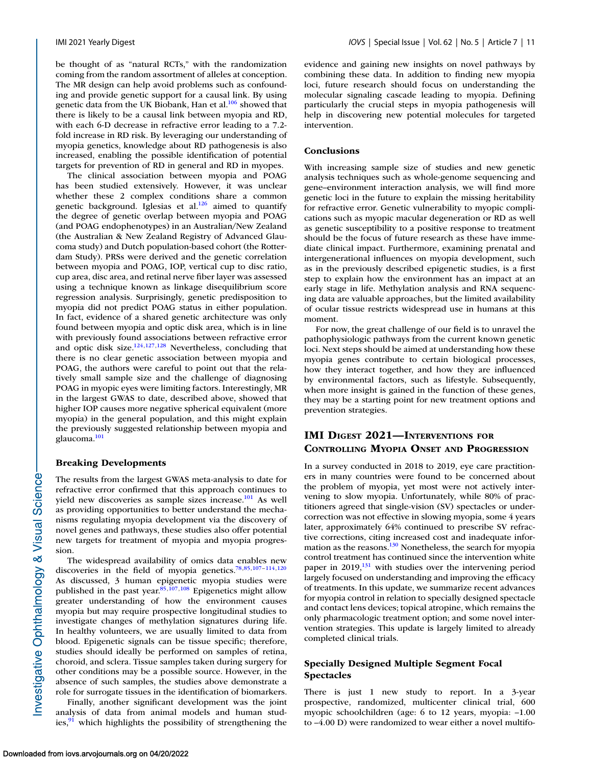be thought of as "natural RCTs," with the randomization coming from the random assortment of alleles at conception. The MR design can help avoid problems such as confounding and provide genetic support for a causal link. By using genetic data from the UK Biobank, Han et al.<sup>106</sup> showed that there is likely to be a causal link between myopia and RD, with each 6-D decrease in refractive error leading to a 7.2 fold increase in RD risk. By leveraging our understanding of myopia genetics, knowledge about RD pathogenesis is also increased, enabling the possible identification of potential targets for prevention of RD in general and RD in myopes.

The clinical association between myopia and POAG has been studied extensively. However, it was unclear whether these 2 complex conditions share a common genetic background. Iglesias et al. $126$  aimed to quantify the degree of genetic overlap between myopia and POAG (and POAG endophenotypes) in an Australian/New Zealand (the Australian & New Zealand Registry of Advanced Glaucoma study) and Dutch population-based cohort (the Rotterdam Study). PRSs were derived and the genetic correlation between myopia and POAG, IOP, vertical cup to disc ratio, cup area, disc area, and retinal nerve fiber layer was assessed using a technique known as linkage disequilibrium score regression analysis. Surprisingly, genetic predisposition to myopia did not predict POAG status in either population. In fact, evidence of a shared genetic architecture was only found between myopia and optic disk area, which is in line with previously found associations between refractive error and optic disk size. $124,127,128$  Nevertheless, concluding that there is no clear genetic association between myopia and POAG, the authors were careful to point out that the relatively small sample size and the challenge of diagnosing POAG in myopic eyes were limiting factors. Interestingly, MR in the largest GWAS to date, described above, showed that higher IOP causes more negative spherical equivalent (more myopia) in the general population, and this might explain the previously suggested relationship between myopia and glaucoma[.101](#page-20-0)

#### **Breaking Developments**

The results from the largest GWAS meta-analysis to date for refractive error confirmed that this approach continues to yield new discoveries as sample sizes increase.<sup>101</sup> As well as providing opportunities to better understand the mechanisms regulating myopia development via the discovery of novel genes and pathways, these studies also offer potential new targets for treatment of myopia and myopia progression.

The widespread availability of omics data enables new discoveries in the field of myopia genetics[.78,85](#page-19-0)[,107–114,120](#page-20-0) As discussed, 3 human epigenetic myopia studies were published in the past year. $85,107,108$  $85,107,108$  Epigenetics might allow greater understanding of how the environment causes myopia but may require prospective longitudinal studies to investigate changes of methylation signatures during life. In healthy volunteers, we are usually limited to data from blood. Epigenetic signals can be tissue specific; therefore, studies should ideally be performed on samples of retina, choroid, and sclera. Tissue samples taken during surgery for other conditions may be a possible source. However, in the absence of such samples, the studies above demonstrate a role for surrogate tissues in the identification of biomarkers.

Finally, another significant development was the joint analysis of data from animal models and human studies, $91$  which highlights the possibility of strengthening the evidence and gaining new insights on novel pathways by combining these data. In addition to finding new myopia loci, future research should focus on understanding the molecular signaling cascade leading to myopia. Defining particularly the crucial steps in myopia pathogenesis will help in discovering new potential molecules for targeted intervention.

#### **Conclusions**

With increasing sample size of studies and new genetic analysis techniques such as whole-genome sequencing and gene–environment interaction analysis, we will find more genetic loci in the future to explain the missing heritability for refractive error. Genetic vulnerability to myopic complications such as myopic macular degeneration or RD as well as genetic susceptibility to a positive response to treatment should be the focus of future research as these have immediate clinical impact. Furthermore, examining prenatal and intergenerational influences on myopia development, such as in the previously described epigenetic studies, is a first step to explain how the environment has an impact at an early stage in life. Methylation analysis and RNA sequencing data are valuable approaches, but the limited availability of ocular tissue restricts widespread use in humans at this moment.

For now, the great challenge of our field is to unravel the pathophysiologic pathways from the current known genetic loci. Next steps should be aimed at understanding how these myopia genes contribute to certain biological processes, how they interact together, and how they are influenced by environmental factors, such as lifestyle. Subsequently, when more insight is gained in the function of these genes, they may be a starting point for new treatment options and prevention strategies.

### **IMI DIGEST 2021—INTERVENTIONS FOR CONTROLLING MYOPIA ONSET AND PROGRESSION**

In a survey conducted in 2018 to 2019, eye care practitioners in many countries were found to be concerned about the problem of myopia, yet most were not actively intervening to slow myopia. Unfortunately, while 80% of practitioners agreed that single-vision (SV) spectacles or undercorrection was not effective in slowing myopia, some 4 years later, approximately 64% continued to prescribe SV refractive corrections, citing increased cost and inadequate information as the reasons. $130$  Nonetheless, the search for myopia control treatment has continued since the intervention white paper in  $2019<sup>131</sup>$  with studies over the intervening period largely focused on understanding and improving the efficacy of treatments. In this update, we summarize recent advances for myopia control in relation to specially designed spectacle and contact lens devices; topical atropine, which remains the only pharmacologic treatment option; and some novel intervention strategies. This update is largely limited to already completed clinical trials.

### **Specially Designed Multiple Segment Focal Spectacles**

There is just 1 new study to report. In a 3-year prospective, randomized, multicenter clinical trial, 600 myopic schoolchildren (age: 6 to 12 years, myopia: –1.00 to –4.00 D) were randomized to wear either a novel multifo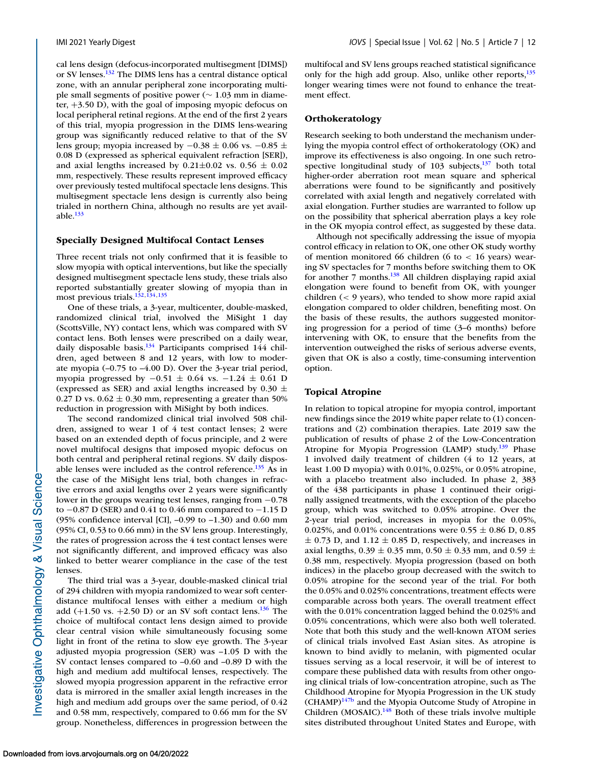cal lens design (defocus-incorporated multisegment [DIMS]) or SV lenses[.132](#page-21-0) The DIMS lens has a central distance optical zone, with an annular peripheral zone incorporating multiple small segments of positive power (∼ 1.03 mm in diameter, +3.50 D), with the goal of imposing myopic defocus on local peripheral retinal regions. At the end of the first 2 years of this trial, myopia progression in the DIMS lens-wearing group was significantly reduced relative to that of the SV lens group; myopia increased by  $-0.38 \pm 0.06$  vs.  $-0.85 \pm 0.06$ 0.08 D (expressed as spherical equivalent refraction [SER]), and axial lengths increased by  $0.21 \pm 0.02$  vs.  $0.56 \pm 0.02$ mm, respectively. These results represent improved efficacy over previously tested multifocal spectacle lens designs. This multisegment spectacle lens design is currently also being trialed in northern China, although no results are yet available. $133$ 

#### **Specially Designed Multifocal Contact Lenses**

Three recent trials not only confirmed that it is feasible to slow myopia with optical interventions, but like the specially designed multisegment spectacle lens study, these trials also reported substantially greater slowing of myopia than in most previous trials.<sup>132,134,135</sup>

One of these trials, a 3-year, multicenter, double-masked, randomized clinical trial, involved the MiSight 1 day (ScottsVille, NY) contact lens, which was compared with SV contact lens. Both lenses were prescribed on a daily wear, daily disposable basis.<sup>134</sup> Participants comprised 144 children, aged between 8 and 12 years, with low to moderate myopia (–0.75 to –4.00 D). Over the 3-year trial period, myopia progressed by −0.51 ± 0.64 vs. −1.24 ± 0.61 D (expressed as SER) and axial lengths increased by 0.30  $\pm$ 0.27 D vs.  $0.62 \pm 0.30$  mm, representing a greater than 50% reduction in progression with MiSight by both indices.

The second randomized clinical trial involved 508 children, assigned to wear 1 of 4 test contact lenses; 2 were based on an extended depth of focus principle, and 2 were novel multifocal designs that imposed myopic defocus on both central and peripheral retinal regions. SV daily disposable lenses were included as the control reference. $135$  As in the case of the MiSight lens trial, both changes in refractive errors and axial lengths over 2 years were significantly lower in the groups wearing test lenses, ranging from −0.78 to −0.87 D (SER) and 0.41 to 0.46 mm compared to −1.15 D (95% confidence interval [CI], –0.99 to –1.30) and 0.60 mm (95% CI, 0.53 to 0.66 mm) in the SV lens group. Interestingly, the rates of progression across the 4 test contact lenses were not significantly different, and improved efficacy was also linked to better wearer compliance in the case of the test lenses.

The third trial was a 3-year, double-masked clinical trial of 294 children with myopia randomized to wear soft centerdistance multifocal lenses with either a medium or high add  $(+1.50 \text{ vs. } +2.50 \text{ D})$  or an SV soft contact lens.<sup>136</sup> The choice of multifocal contact lens design aimed to provide clear central vision while simultaneously focusing some light in front of the retina to slow eye growth. The 3-year adjusted myopia progression (SER) was –1.05 D with the SV contact lenses compared to –0.60 and –0.89 D with the high and medium add multifocal lenses, respectively. The slowed myopia progression apparent in the refractive error data is mirrored in the smaller axial length increases in the high and medium add groups over the same period, of 0.42 and 0.58 mm, respectively, compared to 0.66 mm for the SV group. Nonetheless, differences in progression between the

multifocal and SV lens groups reached statistical significance only for the high add group. Also, unlike other reports,<sup>135</sup> longer wearing times were not found to enhance the treatment effect.

#### **Orthokeratology**

Research seeking to both understand the mechanism underlying the myopia control effect of orthokeratology (OK) and improve its effectiveness is also ongoing. In one such retrospective longitudinal study of  $103$  subjects, $137$  both total higher-order aberration root mean square and spherical aberrations were found to be significantly and positively correlated with axial length and negatively correlated with axial elongation. Further studies are warranted to follow up on the possibility that spherical aberration plays a key role in the OK myopia control effect, as suggested by these data.

Although not specifically addressing the issue of myopia control efficacy in relation to OK, one other OK study worthy of mention monitored 66 children (6 to  $< 16$  years) wearing SV spectacles for 7 months before switching them to OK for another 7 months.<sup>138</sup> All children displaying rapid axial elongation were found to benefit from OK, with younger children (< 9 years), who tended to show more rapid axial elongation compared to older children, benefiting most. On the basis of these results, the authors suggested monitoring progression for a period of time (3–6 months) before intervening with OK, to ensure that the benefits from the intervention outweighed the risks of serious adverse events, given that OK is also a costly, time-consuming intervention option.

#### **Topical Atropine**

In relation to topical atropine for myopia control, important new findings since the 2019 white paper relate to (1) concentrations and (2) combination therapies. Late 2019 saw the publication of results of phase 2 of the Low-Concentration Atropine for Myopia Progression (LAMP) study.<sup>139</sup> Phase 1 involved daily treatment of children (4 to 12 years, at least 1.00 D myopia) with 0.01%, 0.025%, or 0.05% atropine, with a placebo treatment also included. In phase 2, 383 of the 438 participants in phase 1 continued their originally assigned treatments, with the exception of the placebo group, which was switched to 0.05% atropine. Over the 2-year trial period, increases in myopia for the 0.05%, 0.025%, and 0.01% concentrations were 0.55  $\pm$  0.86 D, 0.85  $\pm$  0.73 D, and 1.12  $\pm$  0.85 D, respectively, and increases in axial lengths,  $0.39 \pm 0.35$  mm,  $0.50 \pm 0.33$  mm, and  $0.59 \pm 0.35$ 0.38 mm, respectively. Myopia progression (based on both indices) in the placebo group decreased with the switch to 0.05% atropine for the second year of the trial. For both the 0.05% and 0.025% concentrations, treatment effects were comparable across both years. The overall treatment effect with the 0.01% concentration lagged behind the 0.025% and 0.05% concentrations, which were also both well tolerated. Note that both this study and the well-known ATOM series of clinical trials involved East Asian sites. As atropine is known to bind avidly to melanin, with pigmented ocular tissues serving as a local reservoir, it will be of interest to compare these published data with results from other ongoing clinical trials of low-concentration atropine, such as The Childhood Atropine for Myopia Progression in the UK study  $(CHAMP)^{147b}$  $(CHAMP)^{147b}$  $(CHAMP)^{147b}$  and the Myopia Outcome Study of Atropine in Children (MOSAIC). $148$  Both of these trials involve multiple sites distributed throughout United States and Europe, with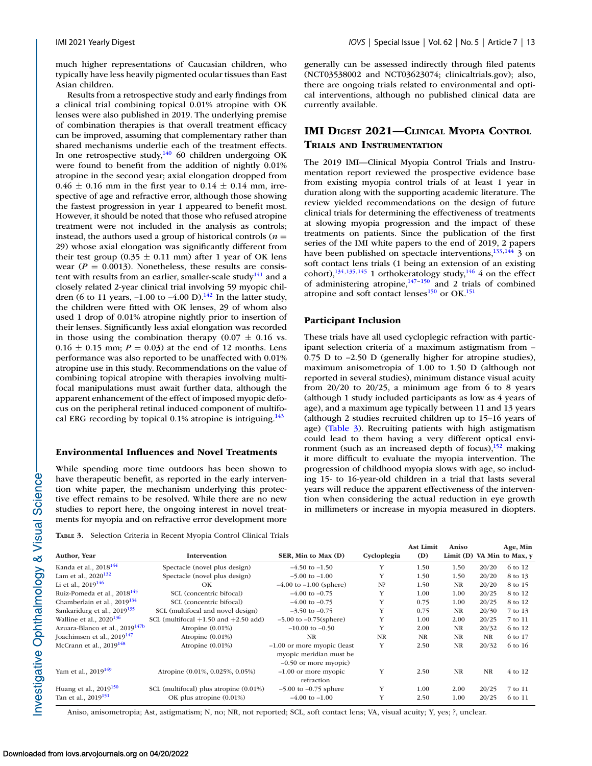much higher representations of Caucasian children, who typically have less heavily pigmented ocular tissues than East Asian children.

Results from a retrospective study and early findings from a clinical trial combining topical 0.01% atropine with OK lenses were also published in 2019. The underlying premise of combination therapies is that overall treatment efficacy can be improved, assuming that complementary rather than shared mechanisms underlie each of the treatment effects. In one retrospective study, $140$  60 children undergoing OK were found to benefit from the addition of nightly 0.01% atropine in the second year; axial elongation dropped from  $0.46 \pm 0.16$  mm in the first year to  $0.14 \pm 0.14$  mm, irrespective of age and refractive error, although those showing the fastest progression in year 1 appeared to benefit most. However, it should be noted that those who refused atropine treatment were not included in the analysis as controls; instead, the authors used a group of historical controls  $(n =$ 29) whose axial elongation was significantly different from their test group  $(0.35 \pm 0.11 \text{ mm})$  after 1 year of OK lens wear ( $P = 0.0013$ ). Nonetheless, these results are consistent with results from an earlier, smaller-scale study<sup>141</sup> and a closely related 2-year clinical trial involving 59 myopic children (6 to 11 years,  $-1.00$  to  $-4.00$  D).<sup>142</sup> In the latter study, the children were fitted with OK lenses, 29 of whom also used 1 drop of 0.01% atropine nightly prior to insertion of their lenses. Significantly less axial elongation was recorded in those using the combination therapy  $(0.07 \pm 0.16 \text{ vs.})$  $0.16 \pm 0.15$  mm;  $P = 0.03$ ) at the end of 12 months. Lens performance was also reported to be unaffected with 0.01% atropine use in this study. Recommendations on the value of combining topical atropine with therapies involving multifocal manipulations must await further data, although the apparent enhancement of the effect of imposed myopic defocus on the peripheral retinal induced component of multifocal ERG recording by topical 0.1% atropine is intriguing. $143$ 

#### **Environmental Influences and Novel Treatments**

While spending more time outdoors has been shown to have therapeutic benefit, as reported in the early intervention white paper, the mechanism underlying this protective effect remains to be resolved. While there are no new studies to report here, the ongoing interest in novel treatments for myopia and on refractive error development more generally can be assessed indirectly through filed patents (NCT03538002 and NCT03623074; clinicaltrials.gov); also, there are ongoing trials related to environmental and optical interventions, although no published clinical data are currently available.

### **IMI DIGEST 2021—CLINICAL MYOPIA CONTROL TRIALS AND INSTRUMENTATION**

The 2019 IMI—Clinical Myopia Control Trials and Instrumentation report reviewed the prospective evidence base from existing myopia control trials of at least 1 year in duration along with the supporting academic literature. The review yielded recommendations on the design of future clinical trials for determining the effectiveness of treatments at slowing myopia progression and the impact of these treatments on patients. Since the publication of the first series of the IMI white papers to the end of 2019, 2 papers have been published on spectacle interventions, $\frac{133,144}{3}$  on soft contact lens trials (1 being an extension of an existing cohort), $134,135,145$  1 orthokeratology study, $146$  4 on the effect of administering atropine, $147-150$  and 2 trials of combined atropine and soft contact lenses $^{150}$  or OK.<sup>151</sup>

#### **Participant Inclusion**

These trials have all used cycloplegic refraction with participant selection criteria of a maximum astigmatism from – 0.75 D to –2.50 D (generally higher for atropine studies), maximum anisometropia of 1.00 to 1.50 D (although not reported in several studies), minimum distance visual acuity from  $20/20$  to  $20/25$ , a minimum age from 6 to 8 years (although 1 study included participants as low as 4 years of age), and a maximum age typically between 11 and 13 years (although 2 studies recruited children up to 15–16 years of age) (Table 3). Recruiting patients with high astigmatism could lead to them having a very different optical environment (such as an increased depth of focus), $152$  making it more difficult to evaluate the myopia intervention. The progression of childhood myopia slows with age, so including 15- to 16-year-old children in a trial that lasts several years will reduce the apparent effectiveness of the intervention when considering the actual reduction in eye growth in millimeters or increase in myopia measured in diopters.

**TABLE 3.** Selection Criteria in Recent Myopia Control Clinical Trials

|                                            |                                          |                                      |             | <b>Ast Limit</b> | Aniso     |           | Age, Min                   |
|--------------------------------------------|------------------------------------------|--------------------------------------|-------------|------------------|-----------|-----------|----------------------------|
| Author, Year                               | <b>Intervention</b>                      | SER, Min to Max (D)                  | Cycloplegia | (D)              |           |           | Limit (D) VA Min to Max, v |
| Kanda et al., 2018 <sup>144</sup>          | Spectacle (novel plus design)            | $-4.50$ to $-1.50$                   | Y           | 1.50             | 1.50      | 20/20     | 6 to 12                    |
| Lam et al., $2020^{132}$                   | Spectacle (novel plus design)            | $-5.00$ to $-1.00$                   | Y           | 1.50             | 1.50      | 20/20     | 8 to 13                    |
| Li et al., $2019^{146}$                    | OK                                       | $-4.00$ to $-1.00$ (sphere)          | N?          | 1.50             | <b>NR</b> | 20/20     | 8 to 15                    |
| Ruiz-Pomeda et al., 2018 <sup>145</sup>    | SCL (concentric bifocal)                 | $-4.00$ to $-0.75$                   | Y           | 1.00             | 1.00      | 20/25     | 8 to 12                    |
| Chamberlain et al., $2019^{134}$           | SCL (concentric bifocal)                 | $-4.00$ to $-0.75$                   | Y           | 0.75             | 1.00      | 20/25     | 8 to 12                    |
| Sankaridurg et al., 2019 <sup>135</sup>    | SCL (multifocal and novel design)        | $-3.50$ to $-0.75$                   | Y           | 0.75             | <b>NR</b> | 20/30     | 7 to 13                    |
| Walline et al., $2020^{136}$               | SCL (multifocal $+1.50$ and $+2.50$ add) | $-5.00$ to $-0.75$ (sphere)          | Y           | 1.00             | 2.00      | 20/25     | 7 to 11                    |
| Azuara-Blanco et al., 2019 <sup>147b</sup> | Atropine $(0.01\%)$                      | $-10.00$ to $-0.50$                  | Y           | 2.00             | <b>NR</b> | 20/32     | 6 to 12                    |
| Joachimsen et al., 2019 <sup>147</sup>     | Atropine $(0.01\%)$                      | NR                                   | <b>NR</b>   | NR               | <b>NR</b> | <b>NR</b> | 6 to 17                    |
| McCrann et al., $2019^{148}$               | Atropine $(0.01\%)$                      | $-1.00$ or more myopic (least        | Y           | 2.50             | <b>NR</b> | 20/32     | 6 to 16                    |
|                                            |                                          | myopic meridian must be              |             |                  |           |           |                            |
|                                            |                                          | $-0.50$ or more myopic)              |             |                  |           |           |                            |
| Yam et al., 2019 <sup>149</sup>            | Atropine (0.01%, 0.025%, 0.05%)          | $-1.00$ or more myopic<br>refraction | Y           | 2.50             | NR        | <b>NR</b> | 4 to 12                    |
| Huang et al., $2019^{150}$                 | SCL (multifocal) plus atropine (0.01%)   | $-5.00$ to $-0.75$ sphere            | Y           | 1.00             | 2.00      | 20/25     | 7 to 11                    |
| Tan et al., 2019 <sup>151</sup>            | OK plus atropine (0.01%)                 | $-4.00$ to $-1.00$                   | Y           | 2.50             | 1.00      | 20/25     | 6 to 11                    |

Aniso, anisometropia; Ast, astigmatism; N, no; NR, not reported; SCL, soft contact lens; VA, visual acuity; Y, yes; ?, unclear.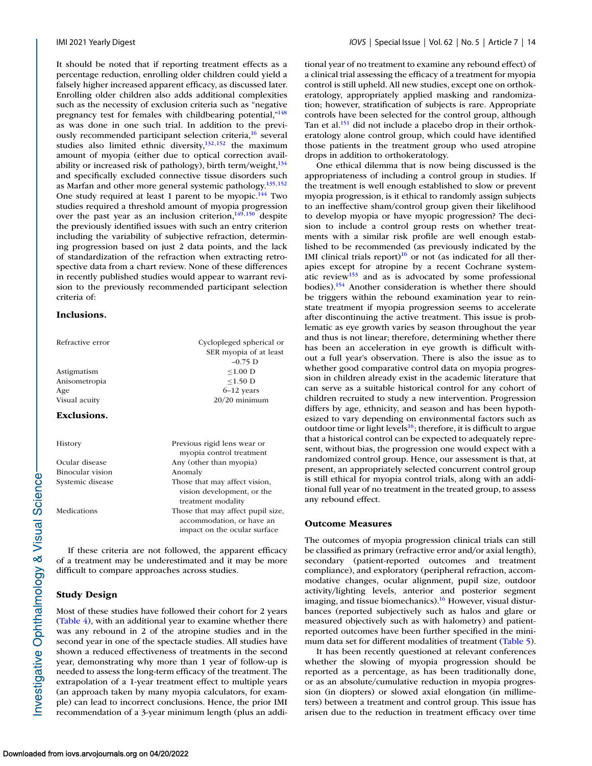It should be noted that if reporting treatment effects as a percentage reduction, enrolling older children could yield a falsely higher increased apparent efficacy, as discussed later. Enrolling older children also adds additional complexities such as the necessity of exclusion criteria such as "negative pregnancy test for females with childbearing potential,"<sup>148</sup> as was done in one such trial. In addition to the previously recommended participant selection criteria,<sup>16</sup> several studies also limited ethnic diversity, $132,152$  the maximum amount of myopia (either due to optical correction availability or increased risk of pathology), birth term/weight, $134$ and specifically excluded connective tissue disorders such as Marfan and other more general systemic pathology[.135,152](#page-21-0) One study required at least 1 parent to be myopic.<sup>144</sup> Two studies required a threshold amount of myopia progression over the past year as an inclusion criterion, $149,150$  despite the previously identified issues with such an entry criterion including the variability of subjective refraction, determining progression based on just 2 data points, and the lack of standardization of the refraction when extracting retrospective data from a chart review. None of these differences in recently published studies would appear to warrant revision to the previously recommended participant selection criteria of:

#### **Inclusions.**

| Refractive error | Cyclopleged spherical or<br>SER myopia of at least<br>$-0.75$ D                                |
|------------------|------------------------------------------------------------------------------------------------|
| Astigmatism      | $< 1.00$ D                                                                                     |
| Anisometropia    | $\leq$ 1.50 D                                                                                  |
| Age              | $6-12$ years                                                                                   |
| Visual acuity    | $20/20$ minimum                                                                                |
| Exclusions.      |                                                                                                |
| History          | Previous rigid lens wear or<br>myopia control treatment                                        |
| Ocular disease   | Any (other than myopia)                                                                        |
| Binocular vision | Anomaly                                                                                        |
| Systemic disease | Those that may affect vision,<br>vision development, or the<br>treatment modality              |
| Medications      | Those that may affect pupil size,<br>accommodation, or have an<br>impact on the ocular surface |
|                  |                                                                                                |

If these criteria are not followed, the apparent efficacy of a treatment may be underestimated and it may be more difficult to compare approaches across studies.

### **Study Design**

Most of these studies have followed their cohort for 2 years [\(Table 4\)](#page-14-0), with an additional year to examine whether there was any rebound in 2 of the atropine studies and in the second year in one of the spectacle studies. All studies have shown a reduced effectiveness of treatments in the second year, demonstrating why more than 1 year of follow-up is needed to assess the long-term efficacy of the treatment. The extrapolation of a 1-year treatment effect to multiple years (an approach taken by many myopia calculators, for example) can lead to incorrect conclusions. Hence, the prior IMI recommendation of a 3-year minimum length (plus an additional year of no treatment to examine any rebound effect) of a clinical trial assessing the efficacy of a treatment for myopia control is still upheld. All new studies, except one on orthokeratology, appropriately applied masking and randomization; however, stratification of subjects is rare. Appropriate controls have been selected for the control group, although Tan et al.<sup>151</sup> did not include a placebo drop in their orthokeratology alone control group, which could have identified those patients in the treatment group who used atropine drops in addition to orthokeratology.

One ethical dilemma that is now being discussed is the appropriateness of including a control group in studies. If the treatment is well enough established to slow or prevent myopia progression, is it ethical to randomly assign subjects to an ineffective sham/control group given their likelihood to develop myopia or have myopic progression? The decision to include a control group rests on whether treatments with a similar risk profile are well enough established to be recommended (as previously indicated by the IMI clinical trials report) $16$  or not (as indicated for all therapies except for atropine by a recent Cochrane systematic revie[w153](#page-21-0) and as is advocated by some professional bodies)[.154](#page-21-0) Another consideration is whether there should be triggers within the rebound examination year to reinstate treatment if myopia progression seems to accelerate after discontinuing the active treatment. This issue is problematic as eye growth varies by season throughout the year and thus is not linear; therefore, determining whether there has been an acceleration in eye growth is difficult without a full year's observation. There is also the issue as to whether good comparative control data on myopia progression in children already exist in the academic literature that can serve as a suitable historical control for any cohort of children recruited to study a new intervention. Progression differs by age, ethnicity, and season and has been hypothesized to vary depending on environmental factors such as outdoor time or light levels<sup>16</sup>; therefore, it is difficult to argue that a historical control can be expected to adequately represent, without bias, the progression one would expect with a randomized control group. Hence, our assessment is that, at present, an appropriately selected concurrent control group is still ethical for myopia control trials, along with an additional full year of no treatment in the treated group, to assess any rebound effect.

#### **Outcome Measures**

The outcomes of myopia progression clinical trials can still be classified as primary (refractive error and/or axial length), secondary (patient-reported outcomes and treatment compliance), and exploratory (peripheral refraction, accommodative changes, ocular alignment, pupil size, outdoor activity/lighting levels, anterior and posterior segment imaging, and tissue biomechanics).<sup>16</sup> However, visual disturbances (reported subjectively such as halos and glare or measured objectively such as with halometry) and patientreported outcomes have been further specified in the minimum data set for different modalities of treatment [\(Table 5\)](#page-14-0).

It has been recently questioned at relevant conferences whether the slowing of myopia progression should be reported as a percentage, as has been traditionally done, or as an absolute/cumulative reduction in myopia progression (in diopters) or slowed axial elongation (in millimeters) between a treatment and control group. This issue has arisen due to the reduction in treatment efficacy over time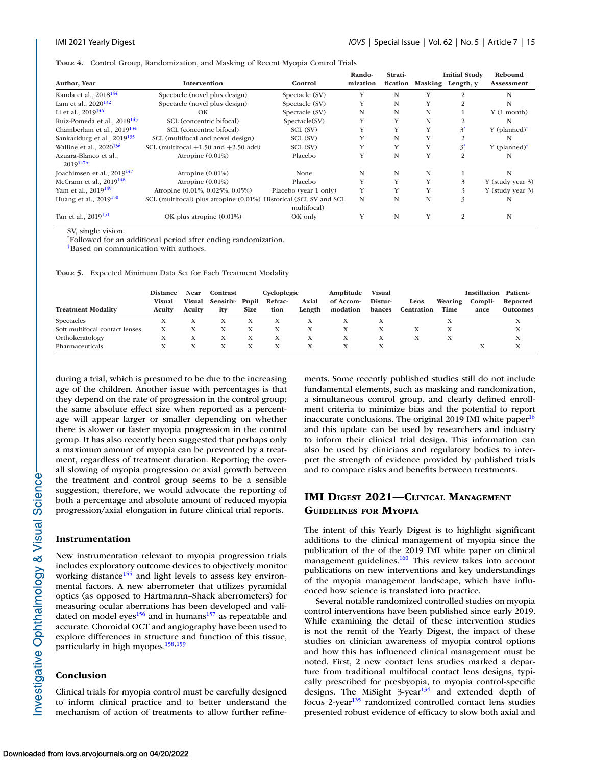<span id="page-14-0"></span>**TABLE 4.** Control Group, Randomization, and Masking of Recent Myopia Control Trials

| Author, Year                            | Intervention                                                      | Control               | Rando-<br>mization | Strati- |   | <b>Initial Study</b><br>fication Masking Length, y | Rebound<br><b>Assessment</b> |
|-----------------------------------------|-------------------------------------------------------------------|-----------------------|--------------------|---------|---|----------------------------------------------------|------------------------------|
|                                         |                                                                   |                       |                    |         |   |                                                    |                              |
| Kanda et al., 2018 <sup>144</sup>       | Spectacle (novel plus design)                                     | Spectacle (SV)        | Y                  | N       | Y | 2                                                  | N                            |
| Lam et al., $2020^{132}$                | Spectacle (novel plus design)                                     | Spectacle (SV)        | Y                  | N       | Y | 2                                                  | N                            |
| Li et al., $2019^{146}$                 | OK                                                                | Spectacle (SV)        | N                  | N       | N |                                                    | $Y(1$ month)                 |
| Ruiz-Pomeda et al., 2018 <sup>145</sup> | SCL (concentric bifocal)                                          | Spectacle(SV)         | Y                  | Y       | N |                                                    | N                            |
| Chamberlain et al., 2019 <sup>134</sup> | SCL (concentric bifocal)                                          | SCL (SV)              | Y                  | Y       | Y | 3                                                  | $Y$ (planned) <sup>†</sup>   |
| Sankaridurg et al., 2019 <sup>135</sup> | SCL (multifocal and novel design)                                 | SCL (SV)              | Y                  | N       | Y |                                                    | N                            |
| Walline et al., $2020^{136}$            | SCL (multifocal $+1.50$ and $+2.50$ add)                          | SCL (SV)              | Y                  | Y       | Y | $3^*$                                              | $Y$ (planned) <sup>†</sup>   |
| Azuara-Blanco et al.,<br>$2019^{147b}$  | Atropine $(0.01\%)$                                               | Placebo               | Y                  | N       | Y | 2                                                  | N                            |
| Joachimsen et al., $2019^{147}$         | Atropine $(0.01\%)$                                               | None                  | N                  | N       | N |                                                    | N                            |
| McCrann et al., $2019^{148}$            | Atropine $(0.01\%)$                                               | Placebo               | Y                  | Y       | Y | 3                                                  | Y (study year 3)             |
| Yam et al., 2019 <sup>149</sup>         | Atropine (0.01%, 0.025%, 0.05%)                                   | Placebo (year 1 only) | Y                  | Y       | Y | 3                                                  | Y (study year 3)             |
| Huang et al., $2019^{150}$              | SCL (multifocal) plus atropine (0.01%) Historical (SCL SV and SCL | multifocal)           | N                  | N       | N | 3                                                  |                              |
| Tan et al., 2019 <sup>151</sup>         | OK plus atropine (0.01%)                                          | OK only               | Y                  | N       | Y | 2                                                  | N                            |

SV, single vision.

\* Followed for an additional period after ending randomization.

†Based on communication with authors.

**TABLE 5.** Expected Minimum Data Set for Each Treatment Modality

|                                | <b>Distance</b><br>Visual | Near<br>Visual | Contrast<br>Sensitiv-Pupil |             | Cycloplegic<br>Refrac- | Axial  | Amplitude<br>of Accom- | <b>Visual</b><br>Distur- | Lens       | Wearing | <b>Instillation</b><br>Compli- | Patient-<br>Reported |
|--------------------------------|---------------------------|----------------|----------------------------|-------------|------------------------|--------|------------------------|--------------------------|------------|---------|--------------------------------|----------------------|
| <b>Treatment Modality</b>      | Acuity                    | Acuity         | itv                        | <b>Size</b> | tion                   | Length | modation               | bances                   | Centration | Time    | ance                           | <b>Outcomes</b>      |
| Spectacles                     |                           |                |                            |             |                        |        |                        |                          |            |         |                                |                      |
| Soft multifocal contact lenses |                           |                |                            |             |                        |        | X                      |                          |            |         |                                | A                    |
| Orthokeratology                |                           |                |                            |             |                        |        |                        |                          |            |         |                                |                      |
| Pharmaceuticals                |                           |                |                            |             |                        |        |                        |                          |            |         |                                |                      |

during a trial, which is presumed to be due to the increasing age of the children. Another issue with percentages is that they depend on the rate of progression in the control group; the same absolute effect size when reported as a percentage will appear larger or smaller depending on whether there is slower or faster myopia progression in the control group. It has also recently been suggested that perhaps only a maximum amount of myopia can be prevented by a treatment, regardless of treatment duration. Reporting the overall slowing of myopia progression or axial growth between the treatment and control group seems to be a sensible suggestion; therefore, we would advocate the reporting of both a percentage and absolute amount of reduced myopia progression/axial elongation in future clinical trial reports.

#### **Instrumentation**

New instrumentation relevant to myopia progression trials includes exploratory outcome devices to objectively monitor working distance<sup>155</sup> and light levels to assess key environmental factors. A new aberrometer that utilizes pyramidal optics (as opposed to Hartmannn–Shack aberrometers) for measuring ocular aberrations has been developed and validated on model eyes<sup>156</sup> and in humans<sup>157</sup> as repeatable and accurate. Choroidal OCT and angiography have been used to explore differences in structure and function of this tissue, particularly in high myopes.<sup>158,159</sup>

#### **Conclusion**

Clinical trials for myopia control must be carefully designed to inform clinical practice and to better understand the mechanism of action of treatments to allow further refinements. Some recently published studies still do not include fundamental elements, such as masking and randomization, a simultaneous control group, and clearly defined enrollment criteria to minimize bias and the potential to report inaccurate conclusions. The original 2019 IMI white paper $16$ and this update can be used by researchers and industry to inform their clinical trial design. This information can also be used by clinicians and regulatory bodies to interpret the strength of evidence provided by published trials and to compare risks and benefits between treatments.

### **IMI DIGEST 2021—CLINICAL MANAGEMENT GUIDELINES FOR MYOPIA**

The intent of this Yearly Digest is to highlight significant additions to the clinical management of myopia since the publication of the of the 2019 IMI white paper on clinical management guidelines.<sup>160</sup> This review takes into account publications on new interventions and key understandings of the myopia management landscape, which have influenced how science is translated into practice.

Several notable randomized controlled studies on myopia control interventions have been published since early 2019. While examining the detail of these intervention studies is not the remit of the Yearly Digest, the impact of these studies on clinician awareness of myopia control options and how this has influenced clinical management must be noted. First, 2 new contact lens studies marked a departure from traditional multifocal contact lens designs, typically prescribed for presbyopia, to myopia control-specific designs. The MiSight  $3$ -year<sup>[134](#page-21-0)</sup> and extended depth of focus 2-year<sup>[135](#page-21-0)</sup> randomized controlled contact lens studies presented robust evidence of efficacy to slow both axial and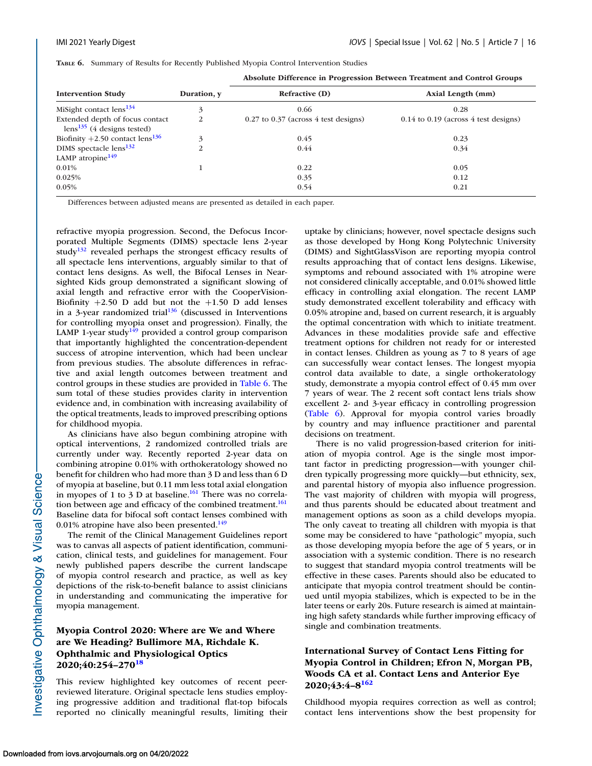|  | TABLE 6. Summary of Results for Recently Published Myopia Control Intervention Studies |  |  |  |  |  |  |  |
|--|----------------------------------------------------------------------------------------|--|--|--|--|--|--|--|
|--|----------------------------------------------------------------------------------------|--|--|--|--|--|--|--|

|                                                                    |             | Absolute Difference in Progression between freatment and Control Groups |                                          |  |  |  |  |
|--------------------------------------------------------------------|-------------|-------------------------------------------------------------------------|------------------------------------------|--|--|--|--|
| <b>Intervention Study</b>                                          | Duration, y | <b>Refractive (D)</b>                                                   | Axial Length (mm)                        |  |  |  |  |
| MiSight contact $lens^{134}$                                       | 3           | 0.66                                                                    | 0.28                                     |  |  |  |  |
| Extended depth of focus contact<br>$lens^{135}$ (4 designs tested) | 2           | $0.27$ to $0.37$ (across 4 test designs)                                | $0.14$ to $0.19$ (across 4 test designs) |  |  |  |  |
| Biofinity +2.50 contact $lens^{136}$                               | 3           | 0.45                                                                    | 0.23                                     |  |  |  |  |
| DIMS spectacle lens <sup>132</sup>                                 | 2           | 0.44                                                                    | 0.34                                     |  |  |  |  |
| LAMP atropine $149$                                                |             |                                                                         |                                          |  |  |  |  |
| $0.01\%$                                                           |             | 0.22                                                                    | 0.05                                     |  |  |  |  |
| 0.025%                                                             |             | 0.35                                                                    | 0.12                                     |  |  |  |  |
| 0.05%                                                              |             | 0.54                                                                    | 0.21                                     |  |  |  |  |
|                                                                    |             |                                                                         |                                          |  |  |  |  |

**Absolute Difference in Progression Between Treatment and Control Groups**

Differences between adjusted means are presented as detailed in each paper.

refractive myopia progression. Second, the Defocus Incorporated Multiple Segments (DIMS) spectacle lens 2-year study $132$  revealed perhaps the strongest efficacy results of all spectacle lens interventions, arguably similar to that of contact lens designs. As well, the Bifocal Lenses in Nearsighted Kids group demonstrated a significant slowing of axial length and refractive error with the CooperVision-Biofinity  $+2.50$  D add but not the  $+1.50$  D add lenses in a 3-year randomized trial $136$  (discussed in Interventions for controlling myopia onset and progression). Finally, the LAMP 1-year study<sup>149</sup> provided a control group comparison that importantly highlighted the concentration-dependent success of atropine intervention, which had been unclear from previous studies. The absolute differences in refractive and axial length outcomes between treatment and control groups in these studies are provided in Table 6. The sum total of these studies provides clarity in intervention evidence and, in combination with increasing availability of the optical treatments, leads to improved prescribing options for childhood myopia.

As clinicians have also begun combining atropine with optical interventions, 2 randomized controlled trials are currently under way. Recently reported 2-year data on combining atropine 0.01% with orthokeratology showed no benefit for children who had more than 3 D and less than 6 D of myopia at baseline, but 0.11 mm less total axial elongation in myopes of 1 to 3 D at baseline.<sup>161</sup> There was no correlation between age and efficacy of the combined treatment.<sup>161</sup> Baseline data for bifocal soft contact lenses combined with 0.01% atropine have also been presented.<sup>149</sup>

The remit of the Clinical Management Guidelines report was to canvas all aspects of patient identification, communication, clinical tests, and guidelines for management. Four newly published papers describe the current landscape of myopia control research and practice, as well as key depictions of the risk-to-benefit balance to assist clinicians in understanding and communicating the imperative for myopia management.

## **Myopia Control 2020: Where are We and Where are We Heading? Bullimore MA, Richdale K. Ophthalmic and Physiological Optics 2020;40:254–270[18](#page-17-0)**

This review highlighted key outcomes of recent peerreviewed literature. Original spectacle lens studies employing progressive addition and traditional flat-top bifocals reported no clinically meaningful results, limiting their uptake by clinicians; however, novel spectacle designs such as those developed by Hong Kong Polytechnic University (DIMS) and SightGlassVison are reporting myopia control results approaching that of contact lens designs. Likewise, symptoms and rebound associated with 1% atropine were not considered clinically acceptable, and 0.01% showed little efficacy in controlling axial elongation. The recent LAMP study demonstrated excellent tolerability and efficacy with 0.05% atropine and, based on current research, it is arguably the optimal concentration with which to initiate treatment. Advances in these modalities provide safe and effective treatment options for children not ready for or interested in contact lenses. Children as young as 7 to 8 years of age can successfully wear contact lenses. The longest myopia control data available to date, a single orthokeratology study, demonstrate a myopia control effect of 0.45 mm over 7 years of wear. The 2 recent soft contact lens trials show excellent 2- and 3-year efficacy in controlling progression (Table 6). Approval for myopia control varies broadly by country and may influence practitioner and parental decisions on treatment.

There is no valid progression-based criterion for initiation of myopia control. Age is the single most important factor in predicting progression—with younger children typically progressing more quickly—but ethnicity, sex, and parental history of myopia also influence progression. The vast majority of children with myopia will progress, and thus parents should be educated about treatment and management options as soon as a child develops myopia. The only caveat to treating all children with myopia is that some may be considered to have "pathologic" myopia, such as those developing myopia before the age of 5 years, or in association with a systemic condition. There is no research to suggest that standard myopia control treatments will be effective in these cases. Parents should also be educated to anticipate that myopia control treatment should be continued until myopia stabilizes, which is expected to be in the later teens or early 20s. Future research is aimed at maintaining high safety standards while further improving efficacy of single and combination treatments.

### **International Survey of Contact Lens Fitting for Myopia Control in Children; Efron N, Morgan PB, Woods CA et al. Contact Lens and Anterior Eye 2020;43:4–8[162](#page-21-0)**

Childhood myopia requires correction as well as control; contact lens interventions show the best propensity for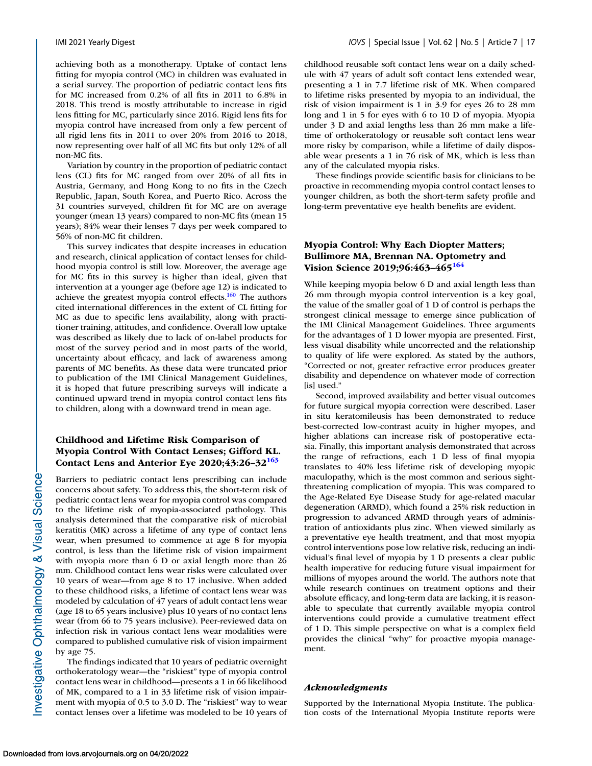achieving both as a monotherapy. Uptake of contact lens fitting for myopia control (MC) in children was evaluated in a serial survey. The proportion of pediatric contact lens fits for MC increased from 0.2% of all fits in 2011 to 6.8% in 2018. This trend is mostly attributable to increase in rigid lens fitting for MC, particularly since 2016. Rigid lens fits for myopia control have increased from only a few percent of all rigid lens fits in 2011 to over 20% from 2016 to 2018, now representing over half of all MC fits but only 12% of all non-MC fits.

Variation by country in the proportion of pediatric contact lens (CL) fits for MC ranged from over 20% of all fits in Austria, Germany, and Hong Kong to no fits in the Czech Republic, Japan, South Korea, and Puerto Rico. Across the 31 countries surveyed, children fit for MC are on average younger (mean 13 years) compared to non-MC fits (mean 15 years); 84% wear their lenses 7 days per week compared to 56% of non-MC fit children.

This survey indicates that despite increases in education and research, clinical application of contact lenses for childhood myopia control is still low. Moreover, the average age for MC fits in this survey is higher than ideal, given that intervention at a younger age (before age 12) is indicated to achieve the greatest myopia control effects.<sup>160</sup> The authors cited international differences in the extent of CL fitting for MC as due to specific lens availability, along with practitioner training, attitudes, and confidence. Overall low uptake was described as likely due to lack of on-label products for most of the survey period and in most parts of the world, uncertainty about efficacy, and lack of awareness among parents of MC benefits. As these data were truncated prior to publication of the IMI Clinical Management Guidelines, it is hoped that future prescribing surveys will indicate a continued upward trend in myopia control contact lens fits to children, along with a downward trend in mean age.

### **Childhood and Lifetime Risk Comparison of Myopia Control With Contact Lenses; Gifford KL. Contact Lens and Anterior Eye 2020;43:26–32[163](#page-21-0)**

Barriers to pediatric contact lens prescribing can include concerns about safety. To address this, the short-term risk of pediatric contact lens wear for myopia control was compared to the lifetime risk of myopia-associated pathology. This analysis determined that the comparative risk of microbial keratitis (MK) across a lifetime of any type of contact lens wear, when presumed to commence at age 8 for myopia control, is less than the lifetime risk of vision impairment with myopia more than 6 D or axial length more than 26 mm. Childhood contact lens wear risks were calculated over 10 years of wear—from age 8 to 17 inclusive. When added to these childhood risks, a lifetime of contact lens wear was modeled by calculation of 47 years of adult contact lens wear (age 18 to 65 years inclusive) plus 10 years of no contact lens wear (from 66 to 75 years inclusive). Peer-reviewed data on infection risk in various contact lens wear modalities were compared to published cumulative risk of vision impairment by age 75. The findings indicated that 10 years of pediatric overnight

orthokeratology wear—the "riskiest" type of myopia control contact lens wear in childhood—presents a 1 in 66 likelihood of MK, compared to a 1 in 33 lifetime risk of vision impairment with myopia of 0.5 to 3.0 D. The "riskiest" way to wear contact lenses over a lifetime was modeled to be 10 years of childhood reusable soft contact lens wear on a daily schedule with 47 years of adult soft contact lens extended wear, presenting a 1 in 7.7 lifetime risk of MK. When compared to lifetime risks presented by myopia to an individual, the risk of vision impairment is 1 in 3.9 for eyes 26 to 28 mm long and 1 in 5 for eyes with 6 to 10 D of myopia. Myopia under 3 D and axial lengths less than 26 mm make a lifetime of orthokeratology or reusable soft contact lens wear more risky by comparison, while a lifetime of daily disposable wear presents a 1 in 76 risk of MK, which is less than any of the calculated myopia risks.

These findings provide scientific basis for clinicians to be proactive in recommending myopia control contact lenses to younger children, as both the short-term safety profile and long-term preventative eye health benefits are evident.

### **Myopia Control: Why Each Diopter Matters; Bullimore MA, Brennan NA. Optometry and Vision Science 2019;96:463–46[5164](#page-21-0)**

While keeping myopia below 6 D and axial length less than 26 mm through myopia control intervention is a key goal, the value of the smaller goal of 1 D of control is perhaps the strongest clinical message to emerge since publication of the IMI Clinical Management Guidelines. Three arguments for the advantages of 1 D lower myopia are presented. First, less visual disability while uncorrected and the relationship to quality of life were explored. As stated by the authors, "Corrected or not, greater refractive error produces greater disability and dependence on whatever mode of correction [is] used."

Second, improved availability and better visual outcomes for future surgical myopia correction were described. Laser in situ keratomileusis has been demonstrated to reduce best-corrected low-contrast acuity in higher myopes, and higher ablations can increase risk of postoperative ectasia. Finally, this important analysis demonstrated that across the range of refractions, each 1 D less of final myopia translates to 40% less lifetime risk of developing myopic maculopathy, which is the most common and serious sightthreatening complication of myopia. This was compared to the Age-Related Eye Disease Study for age-related macular degeneration (ARMD), which found a 25% risk reduction in progression to advanced ARMD through years of administration of antioxidants plus zinc. When viewed similarly as a preventative eye health treatment, and that most myopia control interventions pose low relative risk, reducing an individual's final level of myopia by 1 D presents a clear public health imperative for reducing future visual impairment for millions of myopes around the world. The authors note that while research continues on treatment options and their absolute efficacy, and long-term data are lacking, it is reasonable to speculate that currently available myopia control interventions could provide a cumulative treatment effect of 1 D. This simple perspective on what is a complex field provides the clinical "why" for proactive myopia management.

#### *Acknowledgments*

Supported by the International Myopia Institute. The publication costs of the International Myopia Institute reports were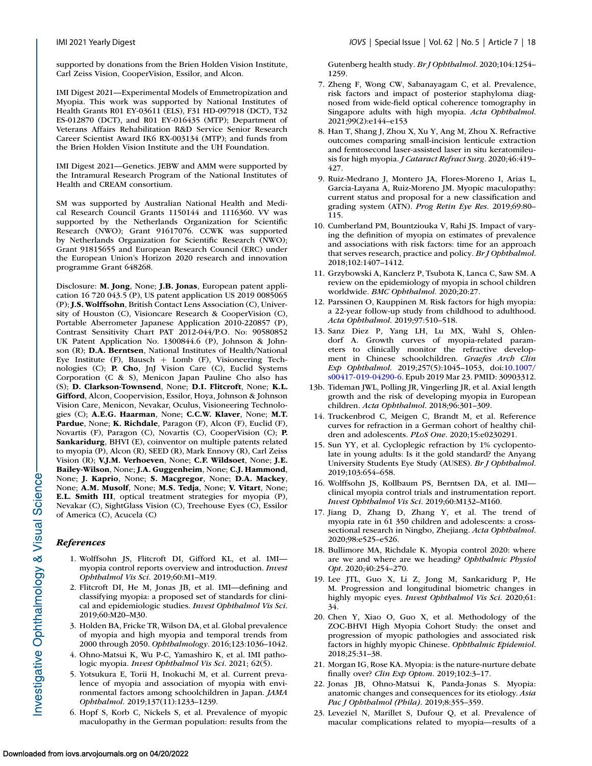<span id="page-17-0"></span>supported by donations from the Brien Holden Vision Institute, Carl Zeiss Vision, CooperVision, Essilor, and Alcon.

IMI Digest 2021—Experimental Models of Emmetropization and Myopia. This work was supported by National Institutes of Health Grants R01 EY-03611 (ELS), F31 HD-097918 (DCT), T32 ES-012870 (DCT), and R01 EY-016435 (MTP); Department of Veterans Affairs Rehabilitation R&D Service Senior Research Career Scientist Award IK6 RX-003134 (MTP); and funds from the Brien Holden Vision Institute and the UH Foundation.

IMI Digest 2021—Genetics. JEBW and AMM were supported by the Intramural Research Program of the National Institutes of Health and CREAM consortium.

SM was supported by Australian National Health and Medical Research Council Grants 1150144 and 1116360. VV was supported by the Netherlands Organization for Scientific Research (NWO); Grant 91617076. CCWK was supported by Netherlands Organization for Scientific Research (NWO); Grant 91815655 and European Research Council (ERC) under the European Union's Horizon 2020 research and innovation programme Grant 648268.

Disclosure: **M. Jong**, None; **J.B. Jonas**, European patent application 16 720 043.5 (P), US patent application US 2019 0085065 (P); **J.S. Wolffsohn**, British Contact Lens Association (C), University of Houston (C), Visioncare Research & CooperVision (C), Portable Aberrometer Japanese Application 2010-220857 (P), Contrast Sensitivity Chart PAT 2012-044/P.O. No: 90580852 UK Patent Application No. 1300844.6 (P), Johnson & Johnson (R); **D.A. Berntsen**, National Institutes of Health/National Eye Institute (F), Bausch + Lomb (F), Visioneering Technologies (C); **P. Cho**, JnJ Vision Care (C), Euclid Systems Corporation (C & S), Menicon Japan Pauline Cho also has (S); **D. Clarkson-Townsend**, None; **D.I. Flitcroft**, None; **K.L. Gifford**, Alcon, Coopervision, Essilor, Hoya, Johnson & Johnson Vision Care, Menicon, Nevakar, Oculus, Visioneering Technologies (C); **A.E.G. Haarman**, None; **C.C.W. Klaver**, None; **M.T. Pardue**, None; **K. Richdale**, Paragon (F), Alcon (F), Euclid (F), Novartis (F), Paragon (C), Novartis (C), CooperVision (C); **P. Sankaridurg**, BHVI (E), coinventor on multiple patents related to myopia (P), Alcon (R), SEED (R), Mark Ennovy (R), Carl Zeiss Vision (R); **V.J.M. Verhoeven**, None; **C.F. Wildsoet**, None; **J.E. Bailey-Wilson**, None; **J.A. Guggenheim**, None; **C.J. Hammond**, None; **J. Kaprio**, None; **S. Macgregor**, None; **D.A. Mackey**, None; **A.M. Musolf**, None; **M.S. Tedja**, None; **V. Vitart**, None; **E.L. Smith III**, optical treatment strategies for myopia (P), Nevakar (C), SightGlass Vision (C), Treehouse Eyes (C), Essilor of America (C), Acucela (C)

#### *References*

- 1. Wolffsohn JS, Flitcroft DI, Gifford KL, et al. IMI myopia control reports overview and introduction. *Invest Ophthalmol Vis Sci*. 2019;60:M1–M19.
- 2. Flitcroft DI, He M, Jonas JB, et al. IMI—defining and classifying myopia: a proposed set of standards for clinical and epidemiologic studies. *Invest Ophthalmol Vis Sci*. 2019;60:M20–M30.
- 3. Holden BA, Fricke TR, Wilson DA, et al. Global prevalence of myopia and high myopia and temporal trends from 2000 through 2050. *Ophthalmology*. 2016;123:1036–1042.
- 4. Ohno-Matsui K, Wu P-C, Yamashiro K, et al. IMI pathologic myopia. *Invest Ophthalmol Vis Sci*. 2021; 62(5).
- 5. Yotsukura E, Torii H, Inokuchi M, et al. Current prevalence of myopia and association of myopia with environmental factors among schoolchildren in Japan. *JAMA Ophthalmol*. 2019;137(11):1233–1239.
- 6. Hopf S, Korb C, Nickels S, et al. Prevalence of myopic maculopathy in the German population: results from the

Gutenberg health study. *Br J Ophthalmol*. 2020;104:1254– 1259.

- 7. Zheng F, Wong CW, Sabanayagam C, et al. Prevalence, risk factors and impact of posterior staphyloma diagnosed from wide-field optical coherence tomography in Singapore adults with high myopia. *Acta Ophthalmol*. 2021;99(2):e144–e153
- 8. Han T, Shang J, Zhou X, Xu Y, Ang M, Zhou X. Refractive outcomes comparing small-incision lenticule extraction and femtosecond laser-assisted laser in situ keratomileusis for high myopia. *J Cataract Refract Surg*. 2020;46:419– 427.
- 9. Ruiz-Medrano J, Montero JA, Flores-Moreno I, Arias L, Garcia-Layana A, Ruiz-Moreno JM. Myopic maculopathy: current status and proposal for a new classification and grading system (ATN). *Prog Retin Eye Res*. 2019;69:80– 115.
- 10. Cumberland PM, Bountziouka V, Rahi JS. Impact of varying the definition of myopia on estimates of prevalence and associations with risk factors: time for an approach that serves research, practice and policy. *Br J Ophthalmol*. 2018;102:1407–1412.
- 11. Grzybowski A, Kanclerz P, Tsubota K, Lanca C, Saw SM. A review on the epidemiology of myopia in school children worldwide. *BMC Ophthalmol*. 2020;20:27.
- 12. Parssinen O, Kauppinen M. Risk factors for high myopia: a 22-year follow-up study from childhood to adulthood. *Acta Ophthalmol*. 2019;97:510–518.
- 13. Sanz Diez P, Yang LH, Lu MX, Wahl S, Ohlendorf A. Growth curves of myopia-related parameters to clinically monitor the refractive development in Chinese schoolchildren. *Graefes Arch Clin Exp Ophthalmol*. 2019;257(5):1045–1053, doi:10.1007/ [s00417-019-04290-6. Epub 2019 Mar 23. PMID: 30903312.](https://doi.org/10.1007/s00417-019-04290-6)
- 13b. Tideman JWL, Polling JR, Vingerling JR, et al. Axial length growth and the risk of developing myopia in European children. *Acta Ophthalmol*. 2018;96:301–309.
- 14. Truckenbrod C, Meigen C, Brandt M, et al. Reference curves for refraction in a German cohort of healthy children and adolescents. *PLoS One*. 2020;15:e0230291.
- 15. Sun YY, et al. Cycloplegic refraction by 1% cyclopentolate in young adults: Is it the gold standard? the Anyang University Students Eye Study (AUSES). *Br J Ophthalmol*. 2019;103:654–658.
- 16. Wolffsohn JS, Kollbaum PS, Berntsen DA, et al. IMI clinical myopia control trials and instrumentation report. *Invest Ophthalmol Vis Sci*. 2019;60:M132–M160.
- 17. Jiang D, Zhang D, Zhang Y, et al. The trend of myopia rate in 61 350 children and adolescents: a crosssectional research in Ningbo, Zhejiang. *Acta Ophthalmol*. 2020;98:e525–e526.
- 18. Bullimore MA, Richdale K. Myopia control 2020: where are we and where are we heading? *Ophthalmic Physiol Opt*. 2020;40:254–270.
- 19. Lee JTL, Guo X, Li Z, Jong M, Sankaridurg P, He M. Progression and longitudinal biometric changes in highly myopic eyes. *Invest Ophthalmol Vis Sci*. 2020;61: 34.
- 20. Chen Y, Xiao O, Guo X, et al. Methodology of the ZOC-BHVI High Myopia Cohort Study: the onset and progression of myopic pathologies and associated risk factors in highly myopic Chinese. *Ophthalmic Epidemiol*. 2018;25:31–38.
- 21. Morgan IG, Rose KA. Myopia: is the nature-nurture debate finally over? *Clin Exp Optom*. 2019;102:3–17.
- 22. Jonas JB, Ohno-Matsui K, Panda-Jonas S. Myopia: anatomic changes and consequences for its etiology. *Asia Pac J Ophthalmol (Phila)*. 2019;8:355–359.
- 23. Leveziel N, Marillet S, Dufour Q, et al. Prevalence of macular complications related to myopia—results of a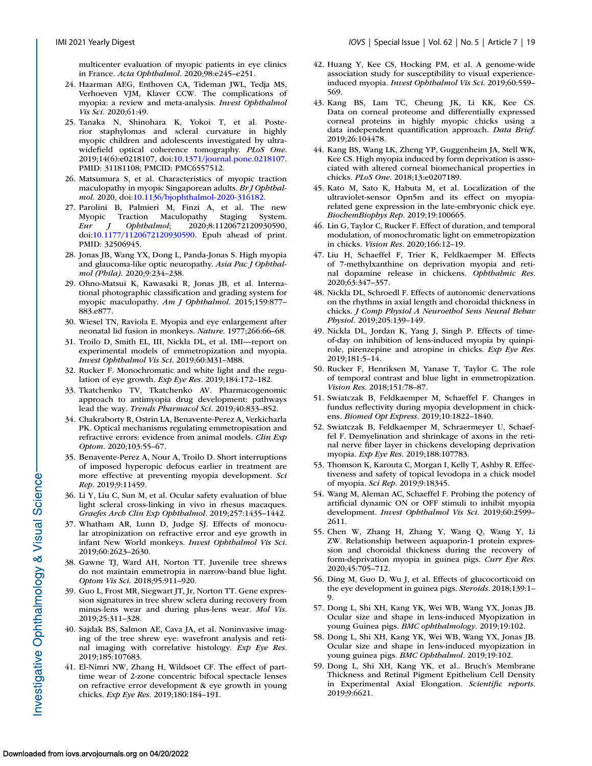<span id="page-18-0"></span>multicenter evaluation of myopic patients in eye clinics in France. *Acta Ophthalmol*. 2020;98:e245–e251.

- 24. Haarman AEG, Enthoven CA, Tideman JWL, Tedja MS, Verhoeven VJM, Klaver CCW. The complications of myopia: a review and meta-analysis. *Invest Ophthalmol Vis Sci*. 2020;61:49.
- 25. Tanaka N, Shinohara K, Yokoi T, et al. Posterior staphylomas and scleral curvature in highly myopic children and adolescents investigated by ultrawidefield optical coherence tomography. *PLoS One*. 2019;14(6):e0218107, doi[:10.1371/journal.pone.0218107.](https://doi.org/10.1371/journal.pone.0218107) PMID: 31181108; PMCID: PMC6557512.
- 26. Matsumura S, et al. Characteristics of myopic traction maculopathy in myopic Singaporean adults. *Br J Ophthalmol*. 2020, doi[:10.1136/bjophthalmol-2020-316182.](https://doi.org/10.1136/bjophthalmol-2020-316182)
- 27. Parolini B, Palmieri M, Finzi A, et al. The new Myopic Traction Maculopathy Staging System.<br>
Eur J Ophthalmol; 2020;8:1120672120930590, *Eur J Ophthalmol*; 2020;8:1120672120930590, doi[:10.1177/1120672120930590.](https://doi.org/10.1177/1120672120930590) Epub ahead of print. PMID: 32506945.
- 28. Jonas JB, Wang YX, Dong L, Panda-Jonas S. High myopia and glaucoma-like optic neuropathy. *Asia Pac J Ophthalmol (Phila)*. 2020;9:234–238.
- 29. Ohno-Matsui K, Kawasaki R, Jonas JB, et al. International photographic classification and grading system for myopic maculopathy. *Am J Ophthalmol*. 2015;159:877– 883.e877.
- 30. Wiesel TN, Raviola E. Myopia and eye enlargement after neonatal lid fusion in monkeys. *Nature*. 1977;266:66–68.
- 31. Troilo D, Smith EL, III, Nickla DL, et al. IMI—report on experimental models of emmetropization and myopia. *Invest Ophthalmol Vis Sci*. 2019;60:M31–M88.
- 32. Rucker F. Monochromatic and white light and the regulation of eye growth. *Exp Eye Res*. 2019;184:172–182.
- 33. Tkatchenko TV, Tkatchenko AV. Pharmacogenomic approach to antimyopia drug development: pathways lead the way. *Trends Pharmacol Sci*. 2019;40:833–852.
- 34. Chakraborty R, Ostrin LA, Benavente-Perez A, Verkicharla PK. Optical mechanisms regulating emmetropisation and refractive errors: evidence from animal models. *Clin Exp Optom*. 2020;103:55–67.
- 35. Benavente-Perez A, Nour A, Troilo D. Short interruptions of imposed hyperopic defocus earlier in treatment are more effective at preventing myopia development. *Sci Rep*. 2019;9:11459.
- 36. Li Y, Liu C, Sun M, et al. Ocular safety evaluation of blue light scleral cross-linking in vivo in rhesus macaques. *Graefes Arch Clin Exp Ophthalmol*. 2019;257:1435–1442.
- 37. Whatham AR, Lunn D, Judge SJ. Effects of monocular atropinization on refractive error and eye growth in infant New World monkeys. *Invest Ophthalmol Vis Sci*. 2019;60:2623–2630.
- 38. Gawne TJ, Ward AH, Norton TT. Juvenile tree shrews do not maintain emmetropia in narrow-band blue light. *Optom Vis Sci*. 2018;95:911–920.
- 39. Guo L, Frost MR, Siegwart JT, Jr, Norton TT. Gene expression signatures in tree shrew sclera during recovery from minus-lens wear and during plus-lens wear. *Mol Vis*. 2019;25:311–328.
- 40. Sajdak BS, Salmon AE, Cava JA, et al. Noninvasive imaging of the tree shrew eye: wavefront analysis and retinal imaging with correlative histology. *Exp Eye Res*. 2019;185:107683.
- 41. El-Nimri NW, Zhang H, Wildsoet CF. The effect of parttime wear of 2-zone concentric bifocal spectacle lenses on refractive error development & eye growth in young chicks. *Exp Eye Res*. 2019;180:184–191.
- 42. Huang Y, Kee CS, Hocking PM, et al. A genome-wide association study for susceptibility to visual experienceinduced myopia. *Invest Ophthalmol Vis Sci*. 2019;60:559– 569.
- 43. Kang BS, Lam TC, Cheung JK, Li KK, Kee CS. Data on corneal proteome and differentially expressed corneal proteins in highly myopic chicks using a data independent quantification approach. *Data Brief*. 2019;26:104478.
- 44. Kang BS, Wang LK, Zheng YP, Guggenheim JA, Stell WK, Kee CS. High myopia induced by form deprivation is associated with altered corneal biomechanical properties in chicks. *PLoS One*. 2018;13:e0207189.
- 45. Kato M, Sato K, Habuta M, et al. Localization of the ultraviolet-sensor Opn5m and its effect on myopiarelated gene expression in the late-embryonic chick eye. *BiochemBiophys Rep*. 2019;19:100665.
- 46. Lin G, Taylor C, Rucker F. Effect of duration, and temporal modulation, of monochromatic light on emmetropization in chicks. *Vision Res*. 2020;166:12–19.
- 47. Liu H, Schaeffel F, Trier K, Feldkaemper M. Effects of 7-methylxanthine on deprivation myopia and retinal dopamine release in chickens. *Ophthalmic Res*. 2020;63:347–357.
- 48. Nickla DL, Schroedl F. Effects of autonomic denervations on the rhythms in axial length and choroidal thickness in chicks. *J Comp Physiol A Neuroethol Sens Neural Behav Physiol*. 2019;205:139–149.
- 49. Nickla DL, Jordan K, Yang J, Singh P. Effects of timeof-day on inhibition of lens-induced myopia by quinpirole, pirenzepine and atropine in chicks. *Exp Eye Res*. 2019;181:5–14.
- 50. Rucker F, Henriksen M, Yanase T, Taylor C. The role of temporal contrast and blue light in emmetropization. *Vision Res*. 2018;151:78–87.
- 51. Swiatczak B, Feldkaemper M, Schaeffel F. Changes in fundus reflectivity during myopia development in chickens. *Biomed Opt Express*. 2019;10:1822–1840.
- 52. Swiatczak B, Feldkaemper M, Schraermeyer U, Schaeffel F. Demyelination and shrinkage of axons in the retinal nerve fiber layer in chickens developing deprivation myopia. *Exp Eye Res*. 2019;188:107783.
- 53. Thomson K, Karouta C, Morgan I, Kelly T, Ashby R. Effectiveness and safety of topical levodopa in a chick model of myopia. *Sci Rep*. 2019;9:18345.
- 54. Wang M, Aleman AC, Schaeffel F. Probing the potency of artificial dynamic ON or OFF stimuli to inhibit myopia development. *Invest Ophthalmol Vis Sci*. 2019;60:2599– 2611.
- 55. Chen W, Zhang H, Zhang Y, Wang Q, Wang Y, Li ZW. Relationship between aquaporin-1 protein expression and choroidal thickness during the recovery of form-deprivation myopia in guinea pigs. *Curr Eye Res*. 2020;45:705–712.
- 56. Ding M, Guo D, Wu J, et al. Effects of glucocorticoid on the eye development in guinea pigs. *Steroids*. 2018;139:1– 9.
- 57. Dong L, Shi XH, Kang YK, Wei WB, Wang YX, Jonas JB. Ocular size and shape in lens-induced Myopization in young Guinea pigs. *BMC ophthalmology*. 2019;19:102.
- 58. Dong L, Shi XH, Kang YK, Wei WB, Wang YX, Jonas JB. Ocular size and shape in lens-induced myopization in young guinea pigs. *BMC Ophthalmol*. 2019;19:102.
- 59. Dong L, Shi XH, Kang YK, et al.. Bruch's Membrane Thickness and Retinal Pigment Epithelium Cell Density in Experimental Axial Elongation. *Scientific reports*. 2019;9:6621.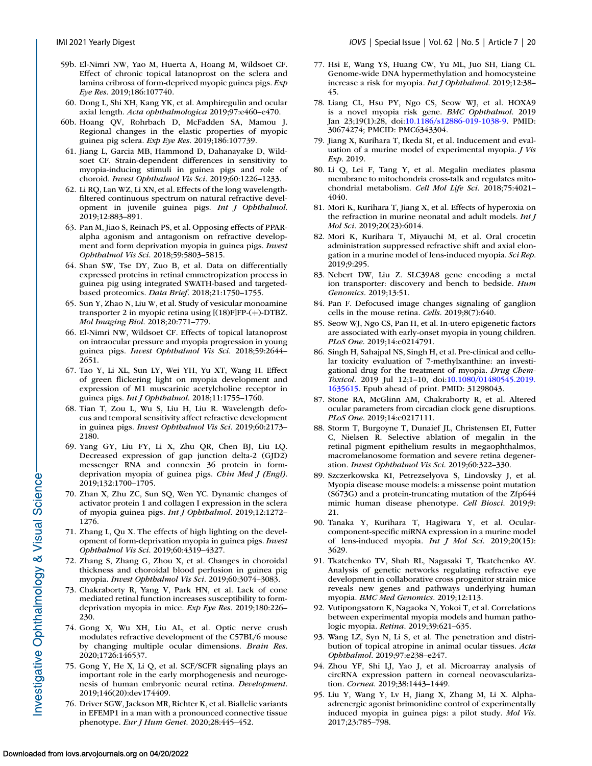- <span id="page-19-0"></span>59b. El-Nimri NW, Yao M, Huerta A, Hoang M, Wildsoet CF. Effect of chronic topical latanoprost on the sclera and lamina cribrosa of form-deprived myopic guinea pigs. *Exp Eye Res*. 2019;186:107740.
- 60. Dong L, Shi XH, Kang YK, et al. Amphiregulin and ocular axial length. *Acta ophthalmologica* 2019;97:e460–e470.
- 60b. Hoang QV, Rohrbach D, McFadden SA, Mamou J. Regional changes in the elastic properties of myopic guinea pig sclera. *Exp Eye Res*. 2019;186:107739.
- 61. Jiang L, Garcia MB, Hammond D, Dahanayake D, Wildsoet CF. Strain-dependent differences in sensitivity to myopia-inducing stimuli in guinea pigs and role of choroid. *Invest Ophthalmol Vis Sci*. 2019;60:1226–1233.
- 62. Li RQ, Lan WZ, Li XN, et al. Effects of the long wavelengthfiltered continuous spectrum on natural refractive development in juvenile guinea pigs. *Int J Ophthalmol*. 2019;12:883–891.
- 63. Pan M, Jiao S, Reinach PS, et al. Opposing effects of PPARalpha agonism and antagonism on refractive development and form deprivation myopia in guinea pigs. *Invest Ophthalmol Vis Sci*. 2018;59:5803–5815.
- 64. Shan SW, Tse DY, Zuo B, et al. Data on differentially expressed proteins in retinal emmetropization process in guinea pig using integrated SWATH-based and targetedbased proteomics. *Data Brief*. 2018;21:1750–1755.
- 65. Sun Y, Zhao N, Liu W, et al. Study of vesicular monoamine transporter 2 in myopic retina using [(18)F]FP-(+)-DTBZ. *Mol Imaging Biol*. 2018;20:771–779.
- 66. El-Nimri NW, Wildsoet CF. Effects of topical latanoprost on intraocular pressure and myopia progression in young guinea pigs. *Invest Ophthalmol Vis Sci*. 2018;59:2644– 2651.
- 67. Tao Y, Li XL, Sun LY, Wei YH, Yu XT, Wang H. Effect of green flickering light on myopia development and expression of M1 muscarinic acetylcholine receptor in guinea pigs. *Int J Ophthalmol*. 2018;11:1755–1760.
- 68. Tian T, Zou L, Wu S, Liu H, Liu R. Wavelength defocus and temporal sensitivity affect refractive development in guinea pigs. *Invest Ophthalmol Vis Sci*. 2019;60:2173– 2180.
- 69. Yang GY, Liu FY, Li X, Zhu QR, Chen BJ, Liu LQ. Decreased expression of gap junction delta-2 (GJD2) messenger RNA and connexin 36 protein in formdeprivation myopia of guinea pigs. *Chin Med J (Engl)*. 2019;132:1700–1705.
- 70. Zhan X, Zhu ZC, Sun SQ, Wen YC. Dynamic changes of activator protein 1 and collagen I expression in the sclera of myopia guinea pigs. *Int J Ophthalmol*. 2019;12:1272– 1276.
- 71. Zhang L, Qu X. The effects of high lighting on the development of form-deprivation myopia in guinea pigs. *Invest Ophthalmol Vis Sci*. 2019;60:4319–4327.
- 72. Zhang S, Zhang G, Zhou X, et al. Changes in choroidal thickness and choroidal blood perfusion in guinea pig myopia. *Invest Ophthalmol Vis Sci*. 2019;60:3074–3083.
- 73. Chakraborty R, Yang V, Park HN, et al. Lack of cone mediated retinal function increases susceptibility to formdeprivation myopia in mice. *Exp Eye Res*. 2019;180:226– 230.
- 74. Gong X, Wu XH, Liu AL, et al. Optic nerve crush modulates refractive development of the C57BL/6 mouse by changing multiple ocular dimensions. *Brain Res*. 2020;1726:146537.
- 75. Gong Y, He X, Li Q, et al. SCF/SCFR signaling plays an important role in the early morphogenesis and neurogenesis of human embryonic neural retina. *Development*. 2019;146(20):dev174409.
- 76. Driver SGW, Jackson MR, Richter K, et al. Biallelic variants in EFEMP1 in a man with a pronounced connective tissue phenotype. *Eur J Hum Genet*. 2020;28:445–452.
- 77. Hsi E, Wang YS, Huang CW, Yu ML, Juo SH, Liang CL. Genome-wide DNA hypermethylation and homocysteine increase a risk for myopia. *Int J Ophthalmol*. 2019;12:38– 45.
- 78. Liang CL, Hsu PY, Ngo CS, Seow WJ, et al. HOXA9 is a novel myopia risk gene. *BMC Ophthalmol*. 2019 Jan 23;19(1):28, doi[:10.1186/s12886-019-1038-9.](https://doi.org/10.1186/s12886-019-1038-9) PMID: 30674274; PMCID: PMC6343304.
- 79. Jiang X, Kurihara T, Ikeda SI, et al. Inducement and evaluation of a murine model of experimental myopia. *J Vis Exp*. 2019.
- 80. Li Q, Lei F, Tang Y, et al. Megalin mediates plasma membrane to mitochondria cross-talk and regulates mitochondrial metabolism. *Cell Mol Life Sci*. 2018;75:4021– 4040.
- 81. Mori K, Kurihara T, Jiang X, et al. Effects of hyperoxia on the refraction in murine neonatal and adult models. *Int J Mol Sci*. 2019;20(23):6014.
- 82. Mori K, Kurihara T, Miyauchi M, et al. Oral crocetin administration suppressed refractive shift and axial elongation in a murine model of lens-induced myopia. *Sci Rep*. 2019;9:295.
- 83. Nebert DW, Liu Z. SLC39A8 gene encoding a metal ion transporter: discovery and bench to bedside. *Hum Genomics*. 2019;13:51.
- 84. Pan F. Defocused image changes signaling of ganglion cells in the mouse retina. *Cells*. 2019;8(7):640.
- 85. Seow WJ, Ngo CS, Pan H, et al. In-utero epigenetic factors are associated with early-onset myopia in young children. *PLoS One*. 2019;14:e0214791.
- 86. Singh H, Sahajpal NS, Singh H, et al. Pre-clinical and cellular toxicity evaluation of 7-methylxanthine: an investigational drug for the treatment of myopia. *Drug Chem-Toxicol*[. 2019 Jul 12;1–10, doi:10.1080/01480545.2019.](https://doi.org/10.1080/01480545.2019.1635615) 1635615. Epub ahead of print. PMID: 31298043.
- 87. Stone RA, McGlinn AM, Chakraborty R, et al. Altered ocular parameters from circadian clock gene disruptions. *PLoS One*. 2019;14:e0217111.
- 88. Storm T, Burgoyne T, Dunaief JL, Christensen EI, Futter C, Nielsen R. Selective ablation of megalin in the retinal pigment epithelium results in megaophthalmos, macromelanosome formation and severe retina degeneration. *Invest Ophthalmol Vis Sci*. 2019;60:322–330.
- 89. Szczerkowska KI, Petrezselyova S, Lindovsky J, et al. Myopia disease mouse models: a missense point mutation (S673G) and a protein-truncating mutation of the Zfp644 mimic human disease phenotype. *Cell Biosci*. 2019;9: 21.
- 90. Tanaka Y, Kurihara T, Hagiwara Y, et al. Ocularcomponent-specific miRNA expression in a murine model of lens-induced myopia. *Int J Mol Sci*. 2019;20(15): 3629.
- 91. Tkatchenko TV, Shah RL, Nagasaki T, Tkatchenko AV. Analysis of genetic networks regulating refractive eye development in collaborative cross progenitor strain mice reveals new genes and pathways underlying human myopia. *BMC Med Genomics*. 2019;12:113.
- 92. Vutipongsatorn K, Nagaoka N, Yokoi T, et al. Correlations between experimental myopia models and human pathologic myopia. *Retina*. 2019;39:621–635.
- 93. Wang LZ, Syn N, Li S, et al. The penetration and distribution of topical atropine in animal ocular tissues. *Acta Ophthalmol*. 2019;97:e238–e247.
- 94. Zhou YF, Shi LJ, Yao J, et al. Microarray analysis of circRNA expression pattern in corneal neovascularization. *Cornea*. 2019;38:1443–1449.
- 95. Liu Y, Wang Y, Lv H, Jiang X, Zhang M, Li X. Alphaadrenergic agonist brimonidine control of experimentally induced myopia in guinea pigs: a pilot study. *Mol Vis*. 2017;23:785–798.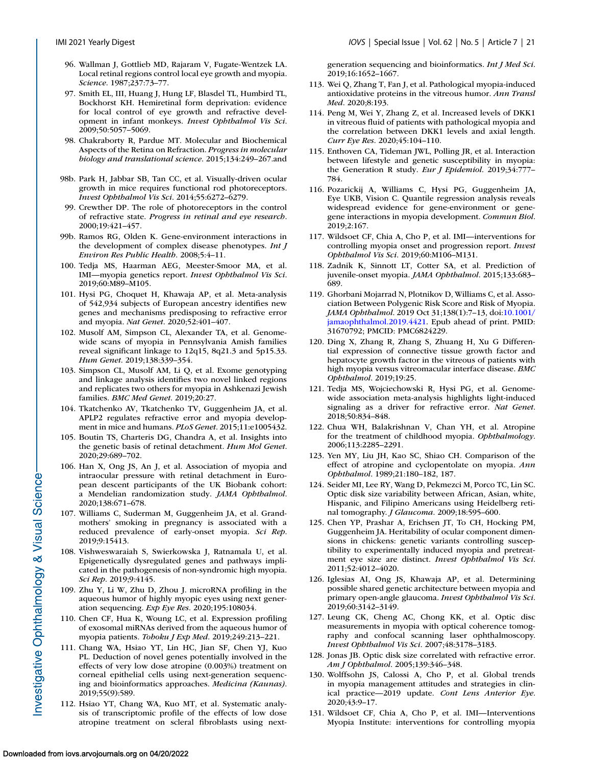- <span id="page-20-0"></span>96. Wallman J, Gottlieb MD, Rajaram V, Fugate-Wentzek LA. Local retinal regions control local eye growth and myopia. *Science*. 1987;237:73–77.
- 97. Smith EL, III, Huang J, Hung LF, Blasdel TL, Humbird TL, Bockhorst KH. Hemiretinal form deprivation: evidence for local control of eye growth and refractive development in infant monkeys. *Invest Ophthalmol Vis Sci*. 2009;50:5057–5069.
- 98. Chakraborty R, Pardue MT. Molecular and Biochemical Aspects of the Retina on Refraction. *Progress in molecular biology and translational science*. 2015;134:249–267.and
- 98b. Park H, Jabbar SB, Tan CC, et al. Visually-driven ocular growth in mice requires functional rod photoreceptors. *Invest Ophthalmol Vis Sci*. 2014;55:6272–6279.
- 99. Crewther DP. The role of photoreceptors in the control of refractive state. *Progress in retinal and eye research*. 2000;19:421–457.
- 99b. Ramos RG, Olden K. Gene-environment interactions in the development of complex disease phenotypes. *Int J Environ Res Public Health*. 2008;5:4–11.
- 100. Tedja MS, Haarman AEG, Meester-Smoor MA, et al. IMI—myopia genetics report. *Invest Ophthalmol Vis Sci*. 2019;60:M89–M105.
- 101. Hysi PG, Choquet H, Khawaja AP, et al. Meta-analysis of 542,934 subjects of European ancestry identifies new genes and mechanisms predisposing to refractive error and myopia. *Nat Genet*. 2020;52:401–407.
- 102. Musolf AM, Simpson CL, Alexander TA, et al. Genomewide scans of myopia in Pennsylvania Amish families reveal significant linkage to 12q15, 8q21.3 and 5p15.33. *Hum Genet*. 2019;138:339–354.
- 103. Simpson CL, Musolf AM, Li Q, et al. Exome genotyping and linkage analysis identifies two novel linked regions and replicates two others for myopia in Ashkenazi Jewish families. *BMC Med Genet*. 2019;20:27.
- 104. Tkatchenko AV, Tkatchenko TV, Guggenheim JA, et al. APLP2 regulates refractive error and myopia development in mice and humans. *PLoS Genet*. 2015;11:e1005432.
- 105. Boutin TS, Charteris DG, Chandra A, et al. Insights into the genetic basis of retinal detachment. *Hum Mol Genet*. 2020;29:689–702.
- 106. Han X, Ong JS, An J, et al. Association of myopia and intraocular pressure with retinal detachment in European descent participants of the UK Biobank cohort: a Mendelian randomization study. *JAMA Ophthalmol*. 2020;138:671–678.
- 107. Williams C, Suderman M, Guggenheim JA, et al. Grandmothers' smoking in pregnancy is associated with a reduced prevalence of early-onset myopia. *Sci Rep*. 2019;9:15413.
- 108. Vishweswaraiah S, Swierkowska J, Ratnamala U, et al. Epigenetically dysregulated genes and pathways implicated in the pathogenesis of non-syndromic high myopia. *Sci Rep*. 2019;9:4145.
- 109. Zhu Y, Li W, Zhu D, Zhou J. microRNA profiling in the aqueous humor of highly myopic eyes using next generation sequencing. *Exp Eye Res*. 2020;195:108034.
- 110. Chen CF, Hua K, Woung LC, et al. Expression profiling of exosomal miRNAs derived from the aqueous humor of myopia patients. *Tohoku J Exp Med*. 2019;249:213–221.
- 111. Chang WA, Hsiao YT, Lin HC, Jian SF, Chen YJ, Kuo PL. Deduction of novel genes potentially involved in the effects of very low dose atropine (0.003%) treatment on corneal epithelial cells using next-generation sequencing and bioinformatics approaches. *Medicina (Kaunas)*. 2019;55(9):589.
- 112. Hsiao YT, Chang WA, Kuo MT, et al. Systematic analysis of transcriptomic profile of the effects of low dose atropine treatment on scleral fibroblasts using next-

generation sequencing and bioinformatics. *Int J Med Sci*. 2019;16:1652–1667.

- 113. Wei Q, Zhang T, Fan J, et al. Pathological myopia-induced antioxidative proteins in the vitreous humor. *Ann Transl Med*. 2020;8:193.
- 114. Peng M, Wei Y, Zhang Z, et al. Increased levels of DKK1 in vitreous fluid of patients with pathological myopia and the correlation between DKK1 levels and axial length. *Curr Eye Res*. 2020;45:104–110.
- 115. Enthoven CA, Tideman JWL, Polling JR, et al. Interaction between lifestyle and genetic susceptibility in myopia: the Generation R study. *Eur J Epidemiol*. 2019;34:777– 784.
- 116. Pozarickij A, Williams C, Hysi PG, Guggenheim JA, Eye UKB, Vision C. Quantile regression analysis reveals widespread evidence for gene-environment or genegene interactions in myopia development. *Commun Biol*. 2019;2:167.
- 117. Wildsoet CF, Chia A, Cho P, et al. IMI—interventions for controlling myopia onset and progression report. *Invest Ophthalmol Vis Sci*. 2019;60:M106–M131.
- 118. Zadnik K, Sinnott LT, Cotter SA, et al. Prediction of juvenile-onset myopia. *JAMA Ophthalmol*. 2015;133:683– 689.
- 119. Ghorbani Mojarrad N, Plotnikov D, Williams C, et al. Association Between Polygenic Risk Score and Risk of Myopia. *JAMA Ophthalmol*. 2019 Oct 31;138(1):7–13, doi:10.1001/ [jamaophthalmol.2019.4421. Epub ahead of print. PMID:](https://doi.org/10.1001/jamaophthalmol.2019.4421) 31670792; PMCID: PMC6824229.
- 120. Ding X, Zhang R, Zhang S, Zhuang H, Xu G Differential expression of connective tissue growth factor and hepatocyte growth factor in the vitreous of patients with high myopia versus vitreomacular interface disease. *BMC Ophthalmol*. 2019;19:25.
- 121. Tedja MS, Wojciechowski R, Hysi PG, et al. Genomewide association meta-analysis highlights light-induced signaling as a driver for refractive error. *Nat Genet*. 2018;50:834–848.
- 122. Chua WH, Balakrishnan V, Chan YH, et al. Atropine for the treatment of childhood myopia. *Ophthalmology*. 2006;113:2285–2291.
- 123. Yen MY, Liu JH, Kao SC, Shiao CH. Comparison of the effect of atropine and cyclopentolate on myopia. *Ann Ophthalmol*. 1989;21:180–182, 187.
- 124. Seider MI, Lee RY, Wang D, Pekmezci M, Porco TC, Lin SC. Optic disk size variability between African, Asian, white, Hispanic, and Filipino Americans using Heidelberg retinal tomography. *J Glaucoma*. 2009;18:595–600.
- 125. Chen YP, Prashar A, Erichsen JT, To CH, Hocking PM, Guggenheim JA. Heritability of ocular component dimensions in chickens: genetic variants controlling susceptibility to experimentally induced myopia and pretreatment eye size are distinct. *Invest Ophthalmol Vis Sci*. 2011;52:4012–4020.
- 126. Iglesias AI, Ong JS, Khawaja AP, et al. Determining possible shared genetic architecture between myopia and primary open-angle glaucoma. *Invest Ophthalmol Vis Sci*. 2019;60:3142–3149.
- 127. Leung CK, Cheng AC, Chong KK, et al. Optic disc measurements in myopia with optical coherence tomography and confocal scanning laser ophthalmoscopy. *Invest Ophthalmol Vis Sci*. 2007;48:3178–3183.
- 128. Jonas JB. Optic disk size correlated with refractive error. *Am J Ophthalmol*. 2005;139:346–348.
- 130. Wolffsohn JS, Calossi A, Cho P, et al. Global trends in myopia management attitudes and strategies in clinical practice—2019 update. *Cont Lens Anterior Eye*. 2020;43:9–17.
- 131. Wildsoet CF, Chia A, Cho P, et al. IMI—Interventions Myopia Institute: interventions for controlling myopia